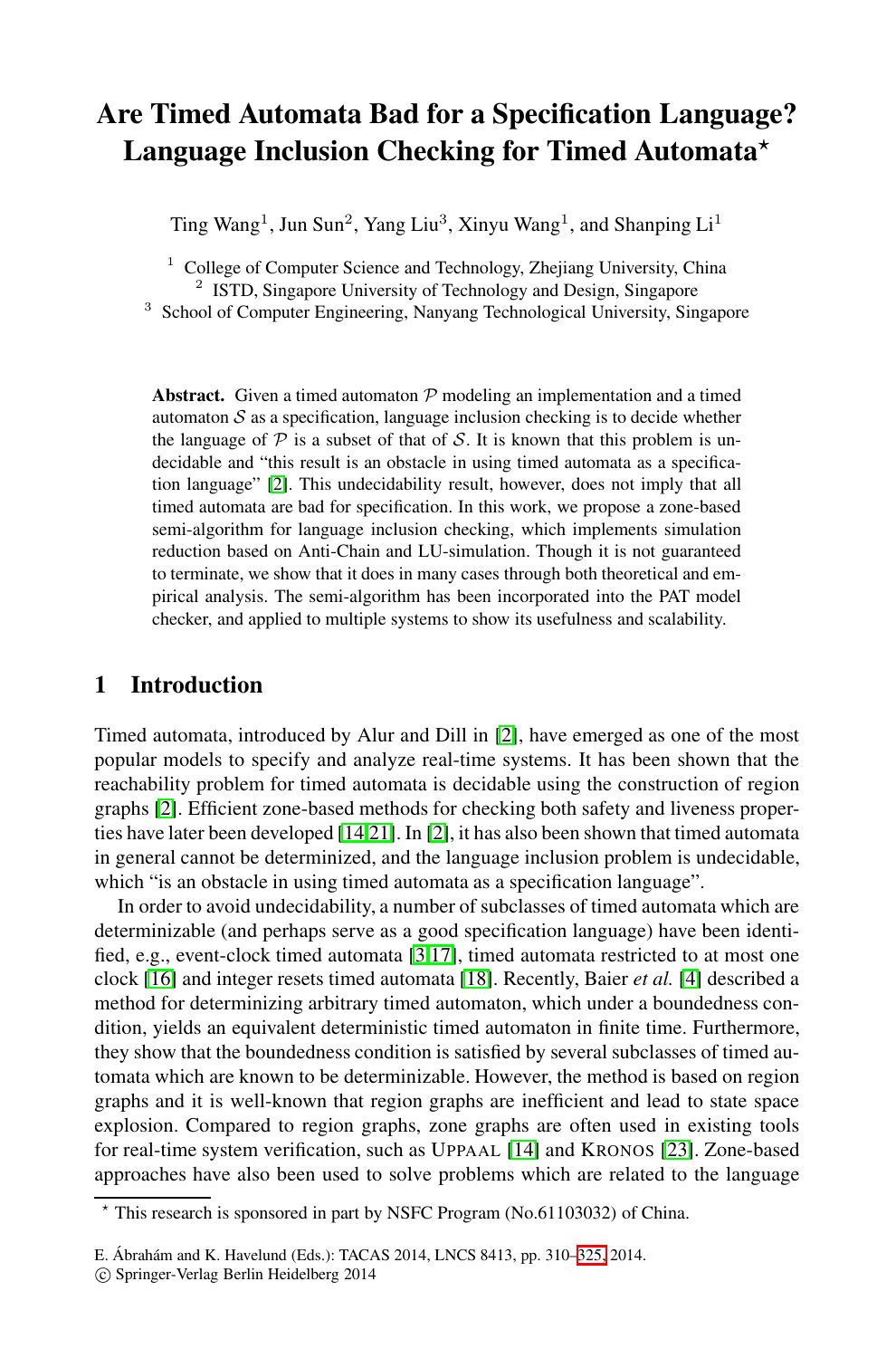# **Are Timed Automata Bad for a Specification Language? Language Inclusion Checking for Timed Automata***-*

Ting Wang<sup>1</sup>, Jun Sun<sup>2</sup>, Yang Liu<sup>3</sup>, Xinyu Wang<sup>1</sup>, and Shanping Li<sup>1</sup>

<sup>1</sup> College of Computer Science and Technology, Zhejiang University, China <sup>2</sup> ISTD, Singapore University of Technology and Design, Singapore

<sup>3</sup> School of Computer Engineering, Nanyang Technological University, Singapore

**Abstract.** Given a timed automaton  $P$  modeling an implementation and a timed automaton  $S$  as a specification, language inclusion checking is to decide whether the language of  $P$  is a subset of that of S. It is known that this problem is undecidable and "this result is an obstacle in using timed automata as a specification language" [2]. This undecidability result, however, does not imply that all timed automata are bad for specification. In this work, we propose a zone-based semi-algorithm for language inclusion checking, which implements simulation reduction based on Anti-[Ch](#page-14-0)ain and LU-simulation. Though it is not guaranteed to terminate, we show that it does in many cases through both theoretical and empirical analysis. The semi-algorithm has been incorporated into the PAT model checker, and applied to multiple systems to show its usefulness and scalability.

## **1 Introduction**

Timed automata, introduced by Alur and Dill in [2], have emerged as one of the most popular models to [sp](#page-14-1)[ecif](#page-14-2)y and analyze real-time systems. It has been shown that the reachability problem for t[ime](#page-15-0)d automata is decidabl[e u](#page-14-3)sing the construction of region graphs [2]. Efficient zone-based methods for checking both safety and liveness properties have later been developed [14,21]. In [2], it has also been shown that timed automata in general cannot be determinized, and the language inclusion problem is undecidable, which "is an obstacle in using timed automata as a specification language".

In order to avoid undecidability, a number of subclasses of timed automata which are determinizable (and perhaps serve as a good specification language) have been identified, e.g., event-clock timed au[tom](#page-14-4)ata [3,17], time[d au](#page-15-1)tomata restricted to at most one clock [16] and integer resets timed automata [18]. Recently, Baier *et al.* [4] described a method for determinizing arbitrary timed automaton, which under a boundedness condition, yields an equivalent deterministic timed automaton in finite time. Furthermore, they show that the boundedness condition is satisfied by several subclasses of timed automata which are known to be determin[izab](#page-15-2)le. However, the method is based on region graphs and it is well-known that region graphs are inefficient and lead to state space explosion. Compared to region graphs, zone graphs are often used in existing tools for real-time system verification, such as UPPAAL [14] and KRONOS [23]. Zone-based approaches have also been used to solve problems which are related to the language

<sup>-</sup> This research is sponsored in part by NSFC Program (No.61103032) of China.

E. Ábrahám and K. Havelund (Eds.): TACAS 2014, LNCS 8413, pp. 310–325, 2014.

<sup>-</sup>c Springer-Verlag Berlin Heidelberg 2014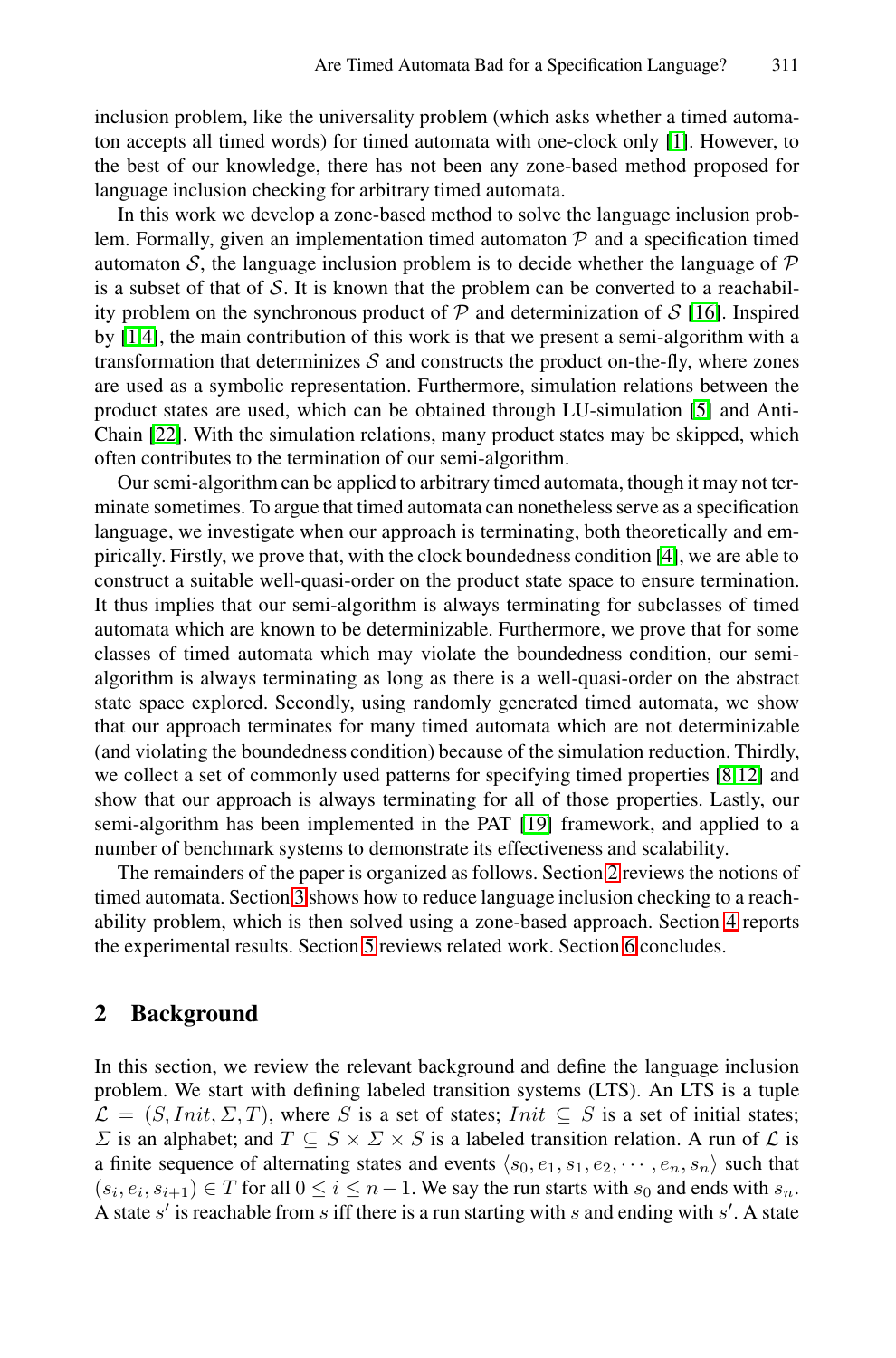inclusion problem, like the universality problem (whi[ch a](#page-14-5)sks whether a timed automaton accepts all timed words) for timed automata with one-clock only [1]. However, to the best of our knowledge, there has not been any zone-based method proposed for language inclusion checking for arbitrary timed automata.

In this work we develop a zone-based method to s[olv](#page-14-6)e the language inclusion problem. Formally, given an implementation timed automaton  $P$  and a specification timed automaton S, the language inclusion problem is to decide whether the language of  $\mathcal P$ is a subset of that of  $S$ . It is known that the problem can be converted to a reachability problem on the synchronous product of  $P$  and determinization of  $S$  [16]. Inspired by [1,4], the main contribution of this work is that we present a semi-algorithm with a transformation that determinizes  $S$  and construct[s th](#page-14-3)e product on-the-fly, where zones are used as a symbolic representation. Furthermore, simulation relations between the product states are used, which can be obtained through LU-simulation [5] and Anti-Chain [22]. With the simulation relations, many product states may be skipped, which often contributes to the termination of our semi-algorithm.

<span id="page-1-0"></span>Our semi-algorithm can be applied to arbitrary timed automata, though it may not terminate sometimes. To argue that timed automata can nonetheless serve as a specification language, we investigate when our approach is terminating, both theoretically and empirically. Firstly, we prove that, with the clock boundedness condition [4], we are able to construct a suitable well-quasi-order on the product stat[e s](#page-14-7)[pac](#page-14-8)e to ensure termination. It thus implies that our semi-algorithm is always terminating for subclasses of timed automata which are known to be [det](#page-15-3)erminizable. Furthermore, we prove that for some classes of timed automata which may violate the boundedness condition, our semialgorithm is always terminating as long a[s th](#page-1-0)ere is a well-quasi-order on the abstract state [s](#page-3-0)pace explored. Secondly, using randomly generated timed automata, we show that our approach terminates for many timed automata [wh](#page-10-0)ich are not determinizable (and violatin[g th](#page-13-0)e boundedness condition) be[cau](#page-13-1)se of the simulation reduction. Thirdly, we collect a set of commonly used patterns for specifying timed properties [8,12] and show that our approach is always terminating for all of those properties. Lastly, our semi-algorithm has been implemented in the PAT [19] framework, and applied to a number of benchmark systems to demonstrate its effectiveness and scalability.

The remainders of the paper is organized as follows. Section 2 reviews the notions of timed automata. Section 3 shows how to reduce language inclusion checking to a reachability problem, which is then solved using a zone-based approach. Section 4 reports the experimental results. Section 5 reviews related work. Section 6 concludes.

## **2 Background**

In this section, we review the relevant background and define the language inclusion problem. We start with defining labeled transition systems (LTS). An LTS is a tuple  $\mathcal{L} = (S,Init, \Sigma, T)$ , where S is a set of states; Init  $\subseteq S$  is a set of initial states;  $\Sigma$  is an alphabet; and  $T \subseteq S \times \Sigma \times S$  is a labeled transition relation. A run of  $\mathcal L$  is a finite sequence of alternating states and events  $\langle s_0, e_1, s_1, e_2, \cdots, e_n, s_n \rangle$  such that  $(s_i, e_i, s_{i+1}) \in T$  for all  $0 \le i \le n-1$ . We say the run starts with  $s_0$  and ends with  $s_n$ . A state  $s'$  is reachable from  $s$  iff there is a run starting with  $s$  and ending with  $s'$ . A state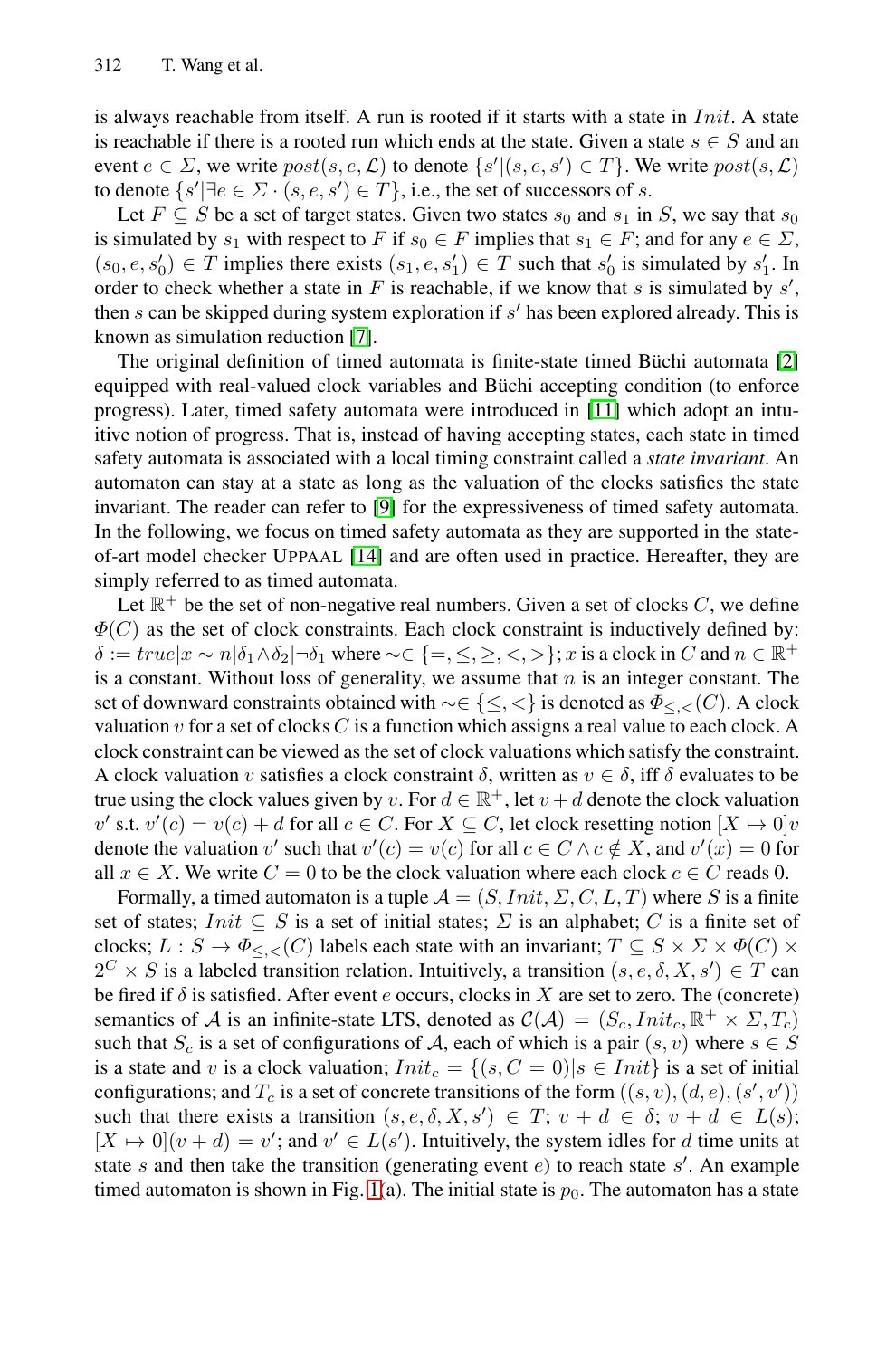is always reachable from itself. A run is rooted if it starts with a state in  $Init$ . A state is reachable [if](#page-14-9) there is a rooted run which ends at the state. Given a state  $s \in S$  and an event  $e \in \Sigma$ , we write  $post(s, e, \mathcal{L})$  to denote  $\{s' | (s, e, s') \in T\}$ [. W](#page-14-0)e write  $post(s, \mathcal{L})$ to denote  $\{s' | \exists e \in \Sigma \cdot (s, e, s') \in T\}$ , i.e., the set of successors of s.

Let  $F \subseteq S$  be a set of target states. G[iven](#page-14-10) two states  $s_0$  and  $s_1$  in S, we say that  $s_0$ is simulated by  $s_1$  with respect to F if  $s_0 \in F$  implies that  $s_1 \in F$ ; and for any  $e \in \Sigma$ ,  $(s_0, e, s'_0) \in T$  implies there exists  $(s_1, e, s'_1) \in T$  such that  $s'_0$  is simulated by  $s'_1$ . In order to check whether a state in F is reachable, if we know that s is simulated by  $s'$ , then  $s$  can be s[kip](#page-14-11)ped during system exploration if  $s'$  has been explored already. This is known as simulation reduction [7].

The origi[nal](#page-14-4) definition of timed automata is finite-state timed Büchi automata  $[2]$ equipped with real-valued clock variables and Büchi accepting condition (to enforce progress). Later, timed safety automata were introduced in [11] which adopt an intuitive notion of progress. That is, instead of having accepting states, each state in timed safety automata is associated with a local timing constraint called a *state invariant*. An automaton can stay at a state as long as the valuation of the clocks satisfies the state invariant. The reader can refer to [9] for the expressiveness of timed safety automata. In the following, we focus on timed safety automata as they are supported in the stateof-art model checker UPPAAL [14] and are often used in practice. Hereafter, they are simply referred to as timed automata.

Let  $\mathbb{R}^+$  be the set of non-negative real numbers. Given a set of clocks C, we define  $\Phi(C)$  as the set of clock constraints. Each clock constraint is inductively defined by:  $\delta := true |x \sim n | \delta_1 \wedge \delta_2 | \delta_1$  where  $\sim \in \{ =, \leq, \geq, \leq, \geq \}$ ; x is a clock in C and  $n \in \mathbb{R}^+$ is a constant. Without loss of generality, we assume that  $n$  is an integer constant. The set of downward constraints obtained with ∼∈ {≤, <} is denoted as Φ≤*,<*(C). A clock valuation v for a set of clocks C is a function which assigns a real value to each clock. A clock constraint can be viewed as the set of clock valuations which satisfy the constraint. A clock valuation v satisfies a clock constraint  $\delta$ , written as  $v \in \delta$ , iff  $\delta$  evaluates to be true using the clock values given by v. For  $d \in \mathbb{R}^+$ , let  $v + d$  denote the clock valuation v' s.t.  $v'(c) = v(c) + d$  for all  $c \in C$ . For  $X \subseteq C$ , let clock resetting notion  $[X \mapsto 0]v$ denote the valuation v' such that  $v'(c) = v(c)$  for all  $c \in C \land c \notin X$ , and  $v'(x) = 0$  for all  $x \in X$ . We write  $C = 0$  to be the clock valuation where each clock  $c \in C$  reads 0.

Formally, a timed automaton is a tuple  $A = (S,Init, \Sigma, C, L, T)$  where S is a finite set of states;  $Init \subseteq S$  is a set of initial states;  $\Sigma$  is an alphabet; C is a finite set of clocks;  $L : S \to \Phi_{\leq,\leq}(C)$  labels each state with an invariant;  $T \subseteq S \times \Sigma \times \Phi(C) \times$  $2^C \times S$  is a labeled transition relation. Intuitively, a transition  $(s, e, \delta, X, s') \in T$  can be fired if  $\delta$  is [sa](#page-3-1)tisfied. After event e occurs, clocks in X are set to zero. The (concrete) semantics of A is an infinite-state LTS, denoted as  $\mathcal{C}(\mathcal{A})=(S_c,Init_c, \mathbb{R}^+ \times \Sigma, T_c)$ such that  $S_c$  is a set of configurations of A, each of which is a pair  $(s, v)$  where  $s \in S$ is a state and v is a clock valuation;  $Init_c = \{(s, C = 0) | s \in Init\}$  is a set of initial configurations; and  $T_c$  is a set of concrete transitions of the form  $((s, v), (d, e), (s', v'))$ such that there exists a transition  $(s, e, \delta, X, s') \in T$ ;  $v + d \in \delta$ ;  $v + d \in L(s)$ ;  $[X \mapsto 0](v + d) = v'$ ; and  $v' \in L(s')$ . Intuitively, the system idles for d time units at state s and then take the transition (generating event  $e$ ) to reach state s'. An example timed automaton is shown in Fig. 1(a). The initial state is  $p_0$ . The automaton has a state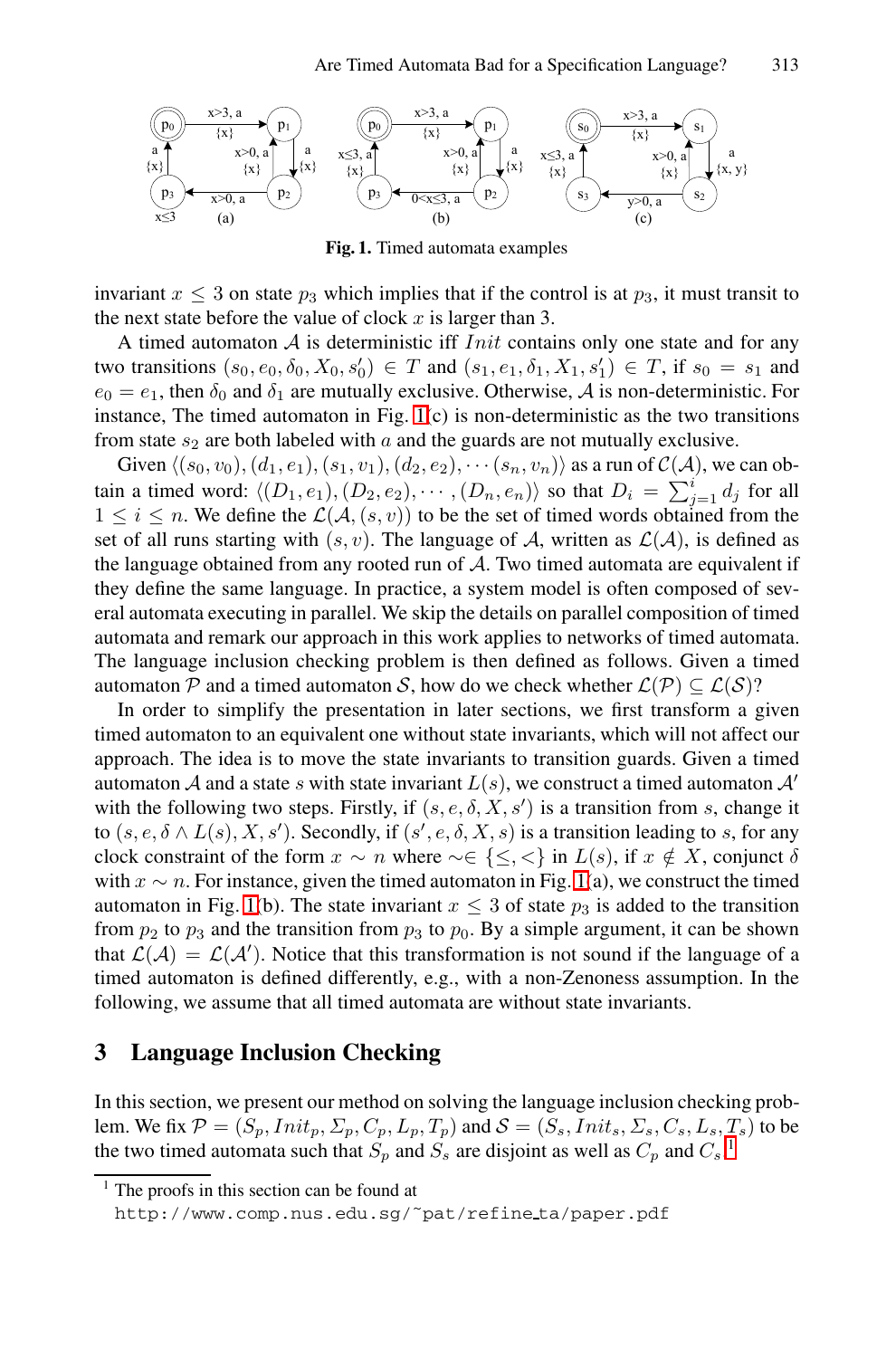

<span id="page-3-1"></span>**Fig. 1.** Timed automata examples

invariant  $x \leq 3$  on state  $p_3$  which implies that if the control is at  $p_3$ , it must transit to the next state before the value of clock  $x$  is larger than 3.

A timed automaton  $A$  is deterministic iff  $Init$  contains only one state and for any two transitions  $(s_0, e_0, \delta_0, X_0, s'_0) \in T$  and  $(s_1, e_1, \delta_1, X_1, s'_1) \in T$ , if  $s_0 = s_1$  and  $e_0 = e_1$ , then  $\delta_0$  and  $\delta_1$  are mutually exclusive. Otherwise, A is non-deterministic. For instance, The timed automaton in Fig.  $1(c)$  is non-deterministic as the two transitions from state  $s_2$  are both labeled with  $a$  and the guards are not mutually exclusive.

Given  $\langle (s_0, v_0), (d_1, e_1), (s_1, v_1), (d_2, e_2), \cdots (s_n, v_n) \rangle$  as a run of  $\mathcal{C}(\mathcal{A})$ , we can obtain a timed word:  $\langle (D_1, e_1), (D_2, e_2), \cdots, (D_n, e_n) \rangle$  so that  $D_i = \sum_{j=1}^i d_j$  for all  $1 \leq i \leq n$ . We define the  $\mathcal{L}(\mathcal{A}, (s, v))$  to be the set of timed words obtained from the set of all runs starting with  $(s, v)$ . The language of A, written as  $\mathcal{L}(\mathcal{A})$ , is defined as the language obtained from any rooted run of A. Two timed automata are equivalent if they define the same language. In practice, a system model is often composed of several automata executing in parallel. We skip the details on parallel composition of timed automata and remark our approach in this work applies to networks of timed automata. The language inclusion checking problem is then defined as follows. Given a timed automaton P and a timed automaton S, [h](#page-3-1)ow do we check whether  $\mathcal{L}(\mathcal{P}) \subset \mathcal{L}(\mathcal{S})$ ?

<span id="page-3-2"></span><span id="page-3-0"></span>In order to simplify the presentation in later sections, we first transform a given [t](#page-3-1)imed automaton to an equivalent one without state invariants, which will not affect our approach. The idea is to move the state invariants to transition guards. Given a timed automaton A and a state s with state invariant  $L(s)$ , we construct a timed automaton  $A'$ with the following two steps. Firstly, if  $(s, e, \delta, X, s')$  is a transition from s, change it to  $(s, e, \delta \wedge L(s), X, s')$ . Secondly, if  $(s', e, \delta, X, s)$  is a transition leading to s, for any clock constraint of the form  $x \sim n$  where  $\sim \in \{\leq, <\}$  in  $L(s)$ , if  $x \notin X$ , conjunct  $\delta$ with  $x \sim n$ . For instance, given the timed automaton in Fig. 1(a), we construct the timed automaton in Fig. 1(b). The state invariant  $x \leq 3$  of state  $p_3$  is added to the transition from  $p_2$  to  $p_3$  and the transition from  $p_3$  to  $p_0$ . By a simple argument, it can be shown that  $\mathcal{L}(\mathcal{A}) = \mathcal{L}(\mathcal{A}')$ . N[ot](#page-3-2)ice that this transformation is not sound if the language of a timed automaton is defined differently, e.g., with a non-Zenoness assumption. In the following, we assume that all timed automata are without state invariants.

## **3 Language Inclusion Checking**

In this section, we present our method on solving the language inclusion checking problem. We fix  $P = (S_p,Init_p, \Sigma_p, C_p, L_p, T_p)$  and  $S = (S_s,Init_s, \Sigma_s, C_s, L_s, T_s)$  to be the two timed automata such that  $S_p$  and  $S_s$  are disjoint as well as  $C_p$  and  $C_s$ .<sup>1</sup>

 $<sup>1</sup>$  The proofs in this section can be found at</sup>

http://www.comp.nus.edu.sg/˜pat/refine ta/paper.pdf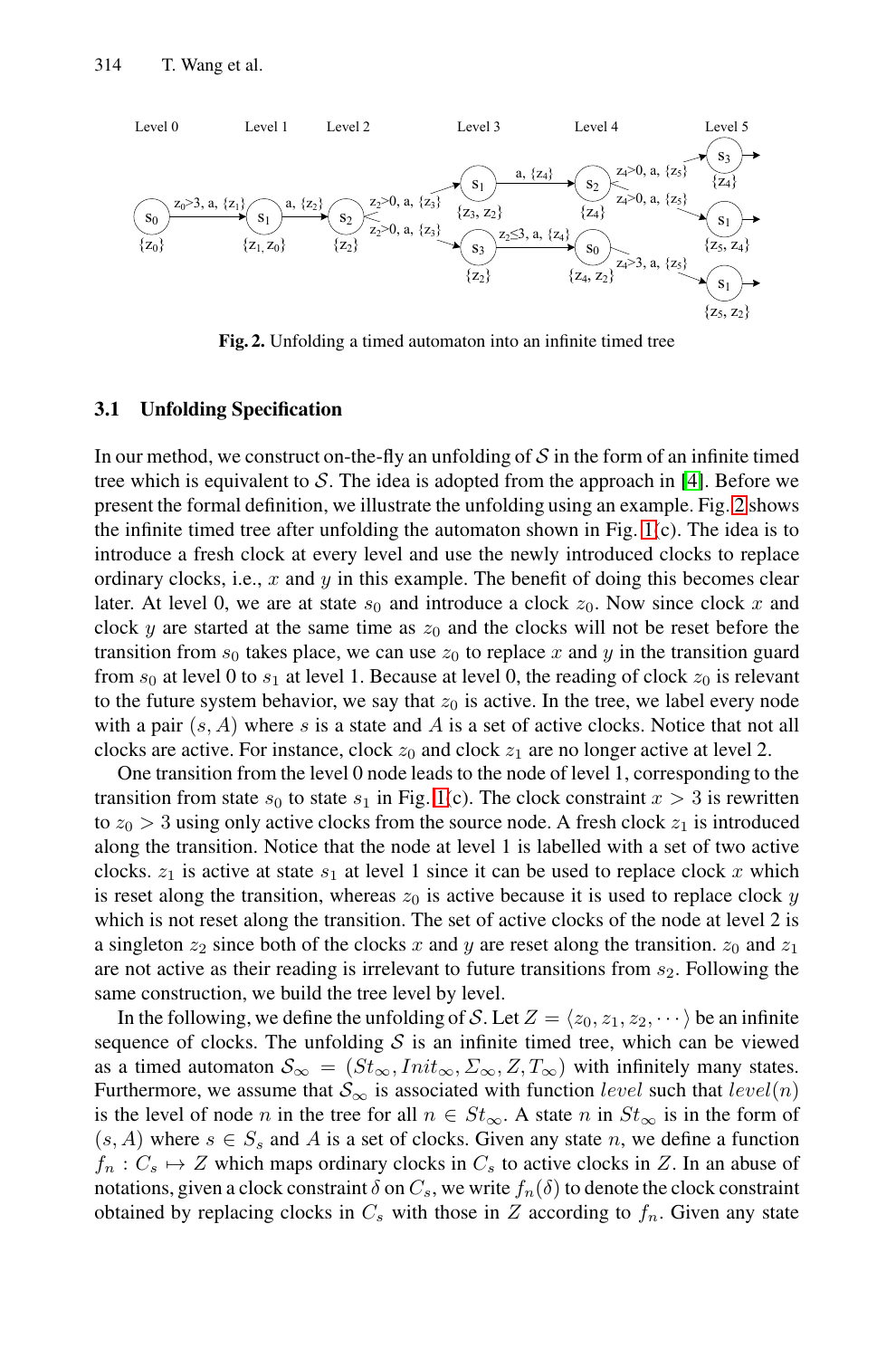<span id="page-4-0"></span>

**Fig. 2.** Unfolding a timed automato[n in](#page-3-1)to an infinite timed tree

#### **3.1 Unfolding Specification**

In our method, we construct on-the-fly an unfolding of  $S$  in the form of an infinite timed tree which is equivalent to S. The idea is adopted from the approach in [4]. Before we present the formal definition, we illustrate the unfolding using an example. Fig. 2 shows the infinite timed tree after unfolding the automaton shown in Fig. 1(c). The idea is to introduce a fresh clock at every level and use the newly introduced clocks to replace ordinary clocks, i.e.,  $x$  and  $y$  in this example. The benefit of doing this becomes clear later. At level 0, we [are](#page-3-1) at state  $s_0$  and introduce a clock  $z_0$ . Now since clock x and clock y are started at the same time as  $z_0$  and the clocks will not be reset before the transition from  $s_0$  takes place, we can use  $z_0$  to replace x and y in the transition guard from  $s_0$  at level 0 to  $s_1$  at level 1. Because at level 0, the reading of clock  $z_0$  is relevant to the future system behavior, we say that  $z_0$  is active. In the tree, we label every node with a pair  $(s, A)$  where s is a state and A is a set of active clocks. Notice that not all clocks are active. For instance, clock  $z_0$  and clock  $z_1$  are no longer active at level 2.

One transition from the level 0 node leads to the node of level 1, corresponding to the transition from state  $s_0$  to state  $s_1$  in Fig. 1(c). The clock constraint  $x > 3$  is rewritten to  $z_0 > 3$  using only active clocks from the source node. A fresh clock  $z_1$  is introduced along the transition. Notice that the node at level 1 is labelled with a set of two active clocks.  $z_1$  is active at state  $s_1$  at level 1 since it can be used to replace clock x which is reset along the transition, whereas  $z_0$  is active because it is used to replace clock y which is not reset along the transition. The set of active clocks of the node at level 2 is a singleton  $z_2$  since both of the clocks x and y are reset along the transition.  $z_0$  and  $z_1$ are not active as their reading is irrelevant to future transitions from  $s_2$ . Following the same construction, we build the tree level by level.

In the following, we define the unfolding of S. Let  $Z = \langle z_0, z_1, z_2, \dots \rangle$  be an infinite sequence of clocks. The unfolding  $S$  is an infinite timed tree, which can be viewed as a timed automaton  $S_{\infty} = (St_{\infty},Init_{\infty}, \Sigma_{\infty}, Z, T_{\infty})$  with infinitely many states. Furthermore, we assume that  $S_{\infty}$  is associated with function *level* such that *level*(*n*) is the level of node n in the tree for all  $n \in St_{\infty}$ . A state n in  $St_{\infty}$  is in the form of  $(s, A)$  where  $s \in S_s$  and A is a set of clocks. Given any state n, we define a function  $f_n: C_s \mapsto Z$  which maps ordinary clocks in  $C_s$  to active clocks in Z. In an abuse of notations, given a clock constraint  $\delta$  on  $C_s$ , we write  $f_n(\delta)$  to denote the clock constraint obtained by replacing clocks in  $C_s$  with those in  $Z$  according to  $f_n$ . Given any state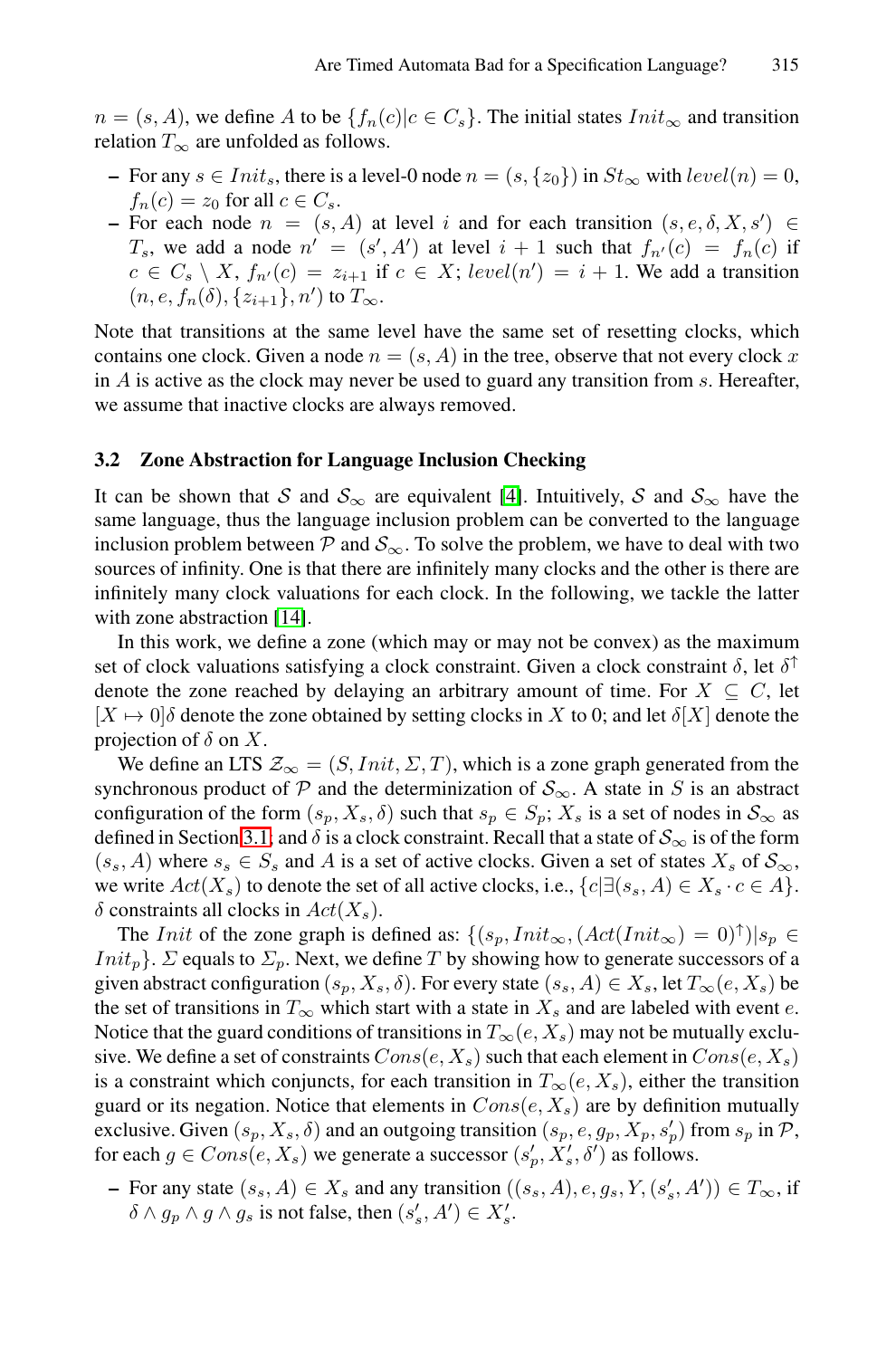$n = (s, A)$ , we define A to be  $\{f_n(c)|c \in C_s\}$ . The initial states  $Init_{\infty}$  and transition relation  $T_{\infty}$  are unfolded as follows.

- **−** For any  $s \in Init_s$ , there is a level-0 node  $n = (s, \{z_0\})$  in  $St_{\infty}$  with level(n) = 0,  $f_n(c) = z_0$  for all  $c \in C_s$ .
- **–** For each node  $n = (s, A)$  at level i and for each transition  $(s, e, \delta, X, s') \in$  $T_s$ , we add a node  $n' = (s', A')$  at level  $i + 1$  such that  $f_{n'}(c) = f_n(c)$  if  $c \in C_s \setminus X$ ,  $f_{n'}(c) = z_{i+1}$  if  $c \in X$ ; *level*( $n'$ ) =  $i + 1$ . We add a transition  $(n, e, f_n(\delta), \{z_{i+1}\}, n')$  to  $T_{\infty}$  $T_{\infty}$ .

Note that transitions at the same level have the same set of resetting clocks, which contains one clock. Given a node  $n = (s, A)$  in the tree, observe that not every clock x in  $A$  is active as the clock may never be used to guard any transition from  $s$ . Hereafter, we assume that inactive clocks are always removed.

#### **3.2 Zone Abstraction for Language Inclusion Checking**

It can be shown that S and  $S_{\infty}$  are equivalent [4]. Intuitively, S and  $S_{\infty}$  have the same language, thus the language inclusion problem can be converted to the language inclusion problem between  $\mathcal P$  and  $\mathcal S_{\infty}$ . To solve the problem, we have to deal with two sources of infinity. One is that there are infinitely many clocks and the other is there are infinitely many clock valuations for each clock. In the following, we tackle the latter with zone abstraction [14].

In this work, we define a zone (which may or may not be convex) as the maximum [set](#page-4-0) of clock valuations satisfying a clock constraint. Given a clock constraint  $\delta$ , let  $\delta^{\uparrow}$ denote the zone reached by delaying an arbitrary amount of time. For  $X \subseteq C$ , let  $[X \mapsto 0]\delta$  denote the zone obtained by setting clocks in X to 0; and let  $\delta[X]$  denote the projection of  $\delta$  on X.

We define an LTS  $\mathcal{Z}_{\infty} = (S,Init, \Sigma, T)$ , which is a zone graph generated from the synchronous product of P and the determinization of  $S_{\infty}$ . A state in S is an abstract configuration of the form  $(s_p, X_s, \delta)$  such that  $s_p \in S_p$ ;  $X_s$  is a set of nodes in  $S_{\infty}$  as defined in Section 3.1; and  $\delta$  is a clock constraint. Recall that a state of  $S_{\infty}$  is of the form  $(s<sub>s</sub>, A)$  where  $s<sub>s</sub> \in S<sub>s</sub>$  and A is a set of active clocks. Given a set of states  $X<sub>s</sub>$  of  $S<sub>\infty</sub>$ , we write  $Act(X<sub>s</sub>)$  to denote the set of all active clocks, i.e.,  ${c \in \exists (s<sub>s</sub>, A) \in X<sub>s</sub> \cdot c \in A}$ .  $\delta$  constraints all clocks in  $Act(X_s)$ .

The *Init* of the zone graph is defined as:  $\{(s_p,Init_\infty, (Act(Init_\infty) = 0)^\uparrow)|s_p \in$  $Init_p$ .  $\Sigma$  equals to  $\Sigma_p$ . Next, we define T by showing how to generate successors of a given abstract configuration  $(s_p, X_s, \delta)$ . For every state  $(s_s, A) \in X_s$ , let  $T_\infty(e, X_s)$  be the set of transitions in  $T_{\infty}$  which start with a state in  $X_s$  and are labeled with event e. Notice that the guard conditions of transitions in  $T_{\infty}(e, X_s)$  may not be mutually exclusive. We define a set of constraints  $Cons(e, X_s)$  such that each element in  $Cons(e, X_s)$ is a constraint which conjuncts, for each transition in  $T_\infty(e, X_s)$ , either the transition guard or its negation. Notice that elements in  $Cons(e, X_s)$  are by definition mutually exclusive. Given  $(s_p, X_s, \delta)$  and an outgoing transition  $(s_p, e, g_p, X_p, s'_p)$  from  $s_p$  in  $P$ , for each  $g \in Cons(e, X_s)$  we generate a successor  $(s_p', X_s', \delta')$  as follows.

**−** For any state  $(s_s, A) \in X_s$  and any transition  $((s_s, A), e, g_s, Y, (s'_s, A')) \in T_\infty$ , if  $\delta \wedge g_p \wedge g \wedge g_s$  is not false, then  $(s'_s, A') \in X'_s$ .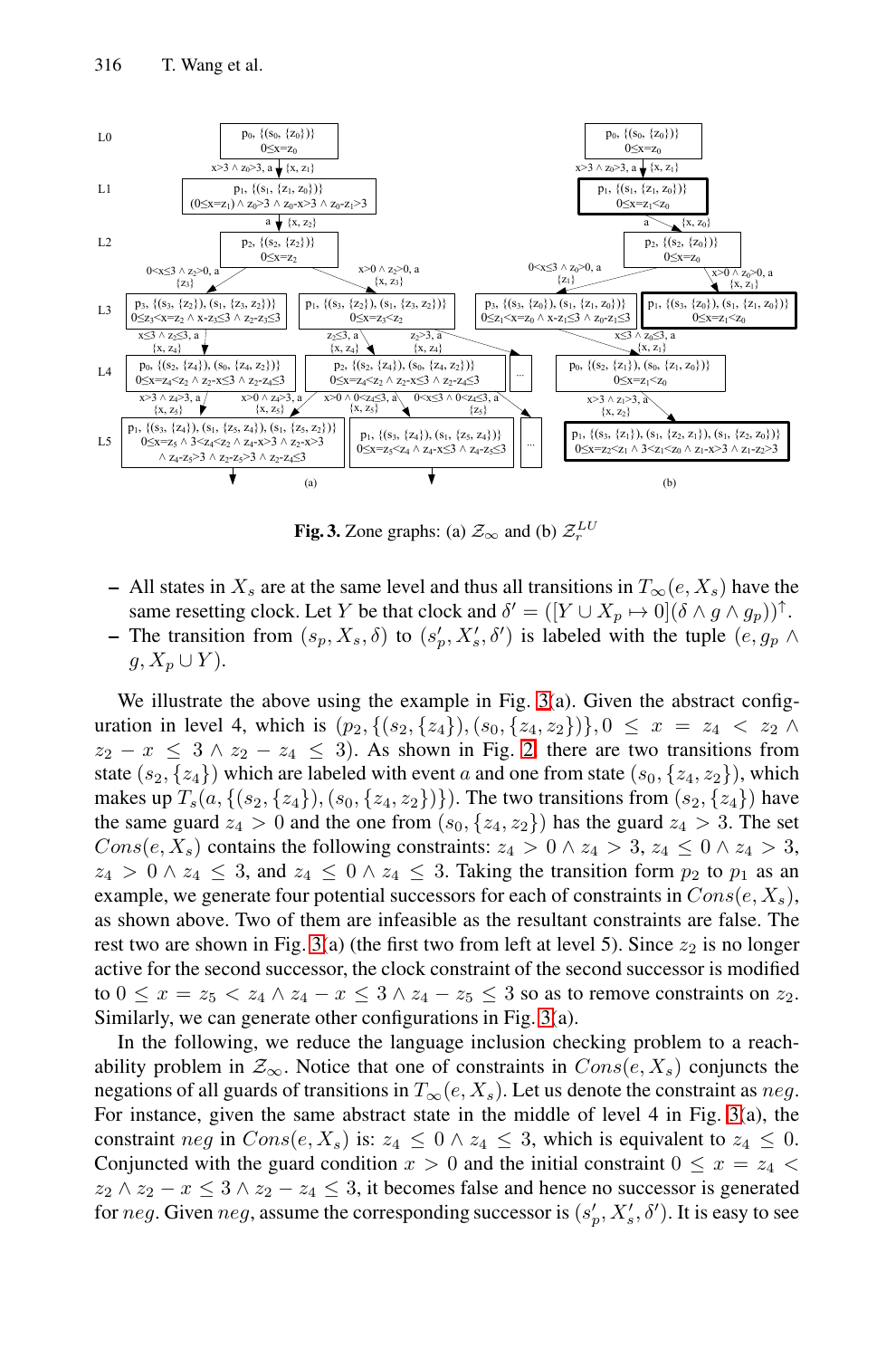<span id="page-6-0"></span>

**Fi[g](#page-6-0). 3.** Zon[e](#page-6-0) graphs: (a)  $\mathcal{Z}_{\infty}$  and (b)  $\mathcal{Z}_{r}^{LU}$ 

**–** All states in  $X_s$  are at the same level and thus all transitions in  $T_\infty(e, X_s)$  have the same resetting clock. Let Y be that clock and  $\delta' = ([Y \cup X_p \mapsto 0](\delta \wedge g \wedge g_p))^{\uparrow}$ . **–** The transition from  $(s_p, X_s, \delta)$  to  $(s'_p, X'_s, \delta')$  is labeled with the tuple  $(e, g_p \wedge$  $g, X_p \cup Y$ ).

We illustrate the above using the example in Fig. 3(a). Given the abstract configuration in level 4, which is  $(p_2, \{(s_2, \{z_4\}), (s_0, \{z_4, z_2\})\}, 0 \leq x = z_4 < z_2 \land z_4$  $z_2 - x \leq 3 \wedge z_2 - z_4 \leq 3$  $z_2 - x \leq 3 \wedge z_2 - z_4 \leq 3$  $z_2 - x \leq 3 \wedge z_2 - z_4 \leq 3$ . As shown in Fig. 2, there are two transitions from state  $(s_2, \{z_4\})$  which are labeled with event a and one from state  $(s_0, \{z_4, z_2\})$ , which makes up  $T_s(a, \{(s_2, \{z_4\}), (s_0, \{z_4, z_2\})\})$ . The two transitions from  $(s_2, \{z_4\})$  have the same guard  $z_4 > 0$  and the on[e f](#page-6-0)rom  $(s_0, \{z_4, z_2\})$  has the guard  $z_4 > 3$ . The set Cons(e, X<sub>s</sub>) contains the following constraints:  $z_4 > 0 \land z_4 > 3$ ,  $z_4 \leq 0 \land z_4 > 3$ ,  $z_4 > 0 \wedge z_4 \leq 3$ , and  $z_4 \leq 0 \wedge z_4 \leq 3$ . Taking the transition form  $p_2$  to  $p_1$  as an example, we generate four potential successors for each of constraints in  $Cons(e, X_s)$ , as shown above. Two of them are infeasible as the result[ant](#page-6-0) constraints are false. The rest two are shown in Fig. 3(a) (the first two from left at level 5). Since  $z_2$  is no longer active for the second successor, the clock constraint of the second successor is modified to  $0 \leq x = z_5 < z_4 \wedge z_4 - x \leq 3 \wedge z_4 - z_5 \leq 3$  so as to remove constraints on  $z_2$ . Similarly, we can generate other configurations in Fig. 3(a).

In the following, we reduce the language inclusion checking problem to a reachability problem in  $\mathcal{Z}_{\infty}$ . Notice that one of constraints in  $Cons(e, X_s)$  conjuncts the negations of all guards of transitions in  $T_\infty(e, X_s)$ . Let us denote the constraint as neg. For instance, given the same abstract state in the middle of level 4 in Fig. 3(a), the constraint neg in  $Cons(e, X_s)$  is:  $z_4 \leq 0 \land z_4 \leq 3$ , which is equivalent to  $z_4 \leq 0$ . Conjuncted with the guard condition  $x > 0$  and the initial constraint  $0 \le x = z_4$  $z_2 \wedge z_2 - x \leq 3 \wedge z_2 - z_4 \leq 3$ , it becomes false and hence no successor is generated for  $neg$ . Given  $neg$ , assume the corresponding successor is  $(s_p', X_s', \delta')$ . It is easy to see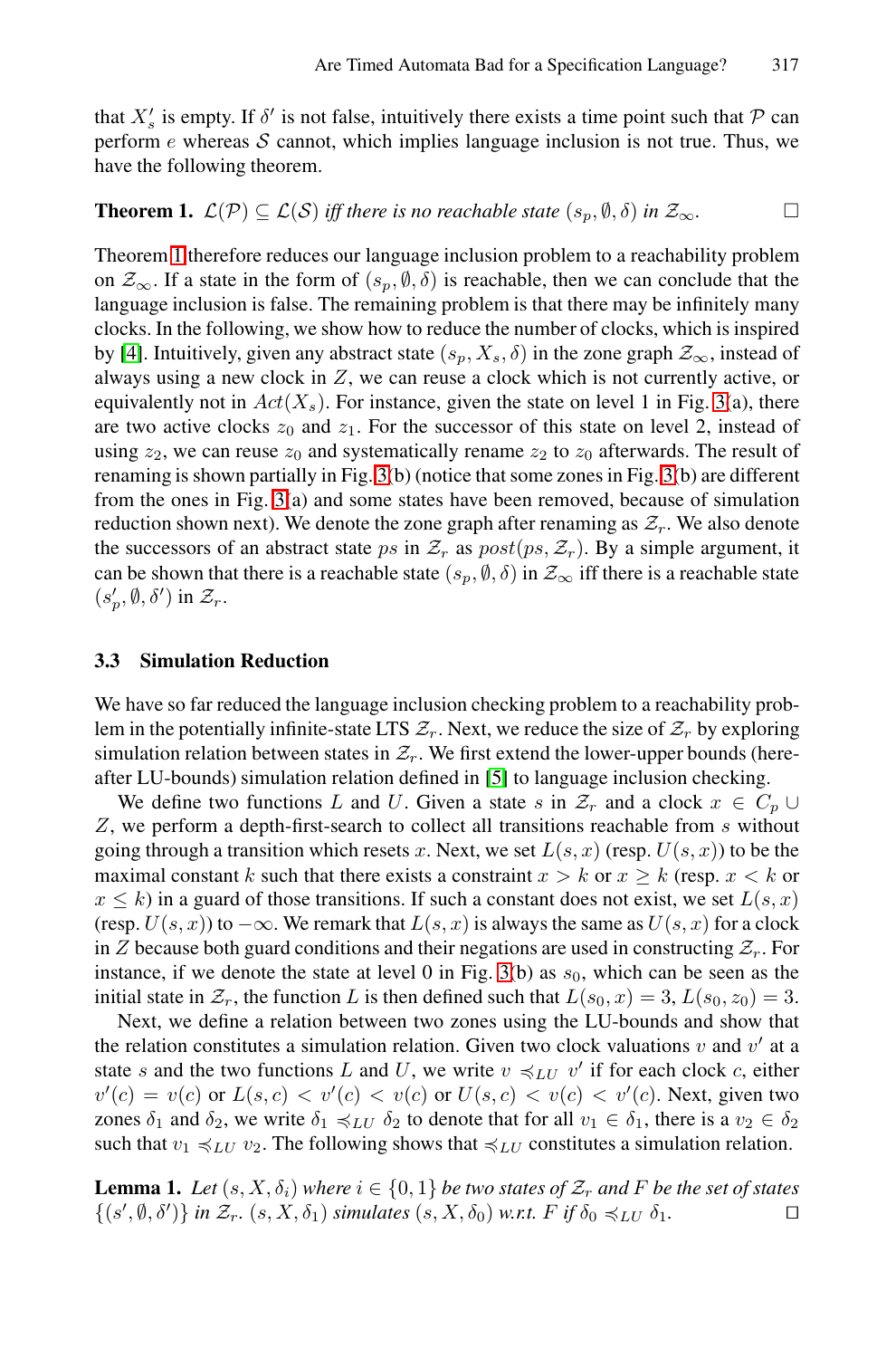that  $X'_s$  is empty. If  $\delta'$  is not false, intuitively there exists a time point such that  $\mathcal P$  can perform  $e$  whereas  $S$  cannot, which implies language inclusion is not true. Thus, we have the following theorem.

**Th[e](#page-6-0)orem 1.**  $\mathcal{L}(\mathcal{P}) \subseteq \mathcal{L}(\mathcal{S})$  *iff there is no reachable state*  $(s_p, \emptyset, \delta)$  *in*  $\mathcal{Z}_{\infty}$ .

Theorem 1 therefore reduces our language inclusion problem to a reachability problem on  $\mathcal{Z}_{\infty}$ . If a st[ate](#page-6-0) in the form of  $(s_p, \emptyset, \delta)$  is reac[ha](#page-6-0)ble, then we can conclude that the la[ng](#page-6-0)uage inclusion is false. The remaining problem is that there may be infinitely many clocks. In the following, we show how to reduce the number of clocks, which is inspired by [4]. Intuitively, given any abstract state  $(s_p, X_s, \delta)$  in the zone graph  $\mathcal{Z}_\infty$ , instead of always using a new clock in  $Z$ , we can reuse a clock which is not currently active, or equivalently not in  $Act(X<sub>s</sub>)$ . For instance, given the state on level 1 in Fig. 3(a), there are two active clocks  $z_0$  and  $z_1$ . For the successor of this state on level 2, instead of using  $z_2$ , we can reuse  $z_0$  and systematically rename  $z_2$  to  $z_0$  afterwards. The result of renaming is shown partially in Fig. 3(b) (notice that some zones in Fig. 3(b) are different from the ones in Fig. 3(a) and some states have been removed, because of simulation reduction shown next). We denote the zone graph after renaming as  $\mathcal{Z}_r$ . We also denote the successors of an abstract state ps in  $\mathcal{Z}_r$  as  $post(ps, \mathcal{Z}_r)$ . By a simple argument, it can be shown that there is a r[ea](#page-14-6)chable state  $(s_p, \emptyset, \delta)$  in  $\mathcal{Z}_{\infty}$  iff there is a reachable state  $(s_p', \emptyset, \delta')$  in  $\mathcal{Z}_r$ .

#### **3.3 Simulation Reduction**

We have so far reduced the language inclusion checking problem to a reachability problem in the potentially infinite-state LTS  $\mathcal{Z}_r$ . Next, we reduce the size of  $\mathcal{Z}_r$  by exploring simulation relation between states in  $\mathcal{Z}_r$ . We first extend the lower-upper bounds (hereafter LU-bounds) simulation [rel](#page-6-0)ation defined in [5] to language inclusion checking.

We define two functions L and U. Given a state s in  $\mathcal{Z}_r$  and a clock  $x \in C_p \cup$ Z, we perform a depth-first-search to collect all transitions reachable from s without going through a transition which resets x. Next, we set  $L(s, x)$  (resp.  $U(s, x)$ ) to be the maximal constant k such that there exists a constraint  $x > k$  or  $x \ge k$  (resp.  $x < k$  or  $x \leq k$ ) in a guard of those transitions. If such a constant does not exist, we set  $L(s, x)$ (resp.  $U(s, x)$ ) to  $-\infty$ . We remark that  $L(s, x)$  is always the same as  $U(s, x)$  for a clock in Z because both guard conditions and their negations are used in constructing  $\mathcal{Z}_r$ . For instance, if we denote the state at level 0 in Fig. 3(b) as  $s<sub>0</sub>$ , which can be seen as the initial state in  $\mathcal{Z}_r$ , the function L is then defined such that  $L(s_0, x)=3, L(s_0, z_0)=3.$ 

Next, we define a relation between two zones using the LU-bounds and show that the relation constitutes a simulation relation. Given two clock valuations  $v$  and  $v'$  at a state s and the two functions L and U, we write  $v \preccurlyeq_{LU} v'$  if for each clock c, either  $v'(c) = v(c)$  or  $L(s, c) < v'(c) < v(c)$  or  $U(s, c) < v(c) < v'(c)$ . Next, given two zones  $\delta_1$  and  $\delta_2$ , we write  $\delta_1 \preccurlyeq_{LU} \delta_2$  to denote that for all  $v_1 \in \delta_1$ , there is a  $v_2 \in \delta_2$ such that  $v_1 \preccurlyeq_{LU} v_2$ . The following shows that  $\preccurlyeq_{LU}$  constitutes a simulation relation.

**Lemma 1.** *Let*  $(s, X, \delta_i)$  *where*  $i \in \{0, 1\}$  *be two states of*  $\mathcal{Z}_r$  *and* F *be the set of states*  $\{ (s', \emptyset, \delta') \}$  *in*  $\mathcal{Z}_r$  (s, X,  $\delta_1$ ) *simulates* (s, X,  $\delta_0$ ) *w t* F if  $\delta_0 \preceq_{LU} \delta_1$  $\{(s', \emptyset, \delta')\}$  *in*  $\mathcal{Z}_r$ *.*  $(s, X, \delta_1)$  *simulates*  $(s, X, \delta_0)$  *w.r.t.*  $F$  *if*  $\delta_0 \preccurlyeq_{LU} \delta_1$ *.*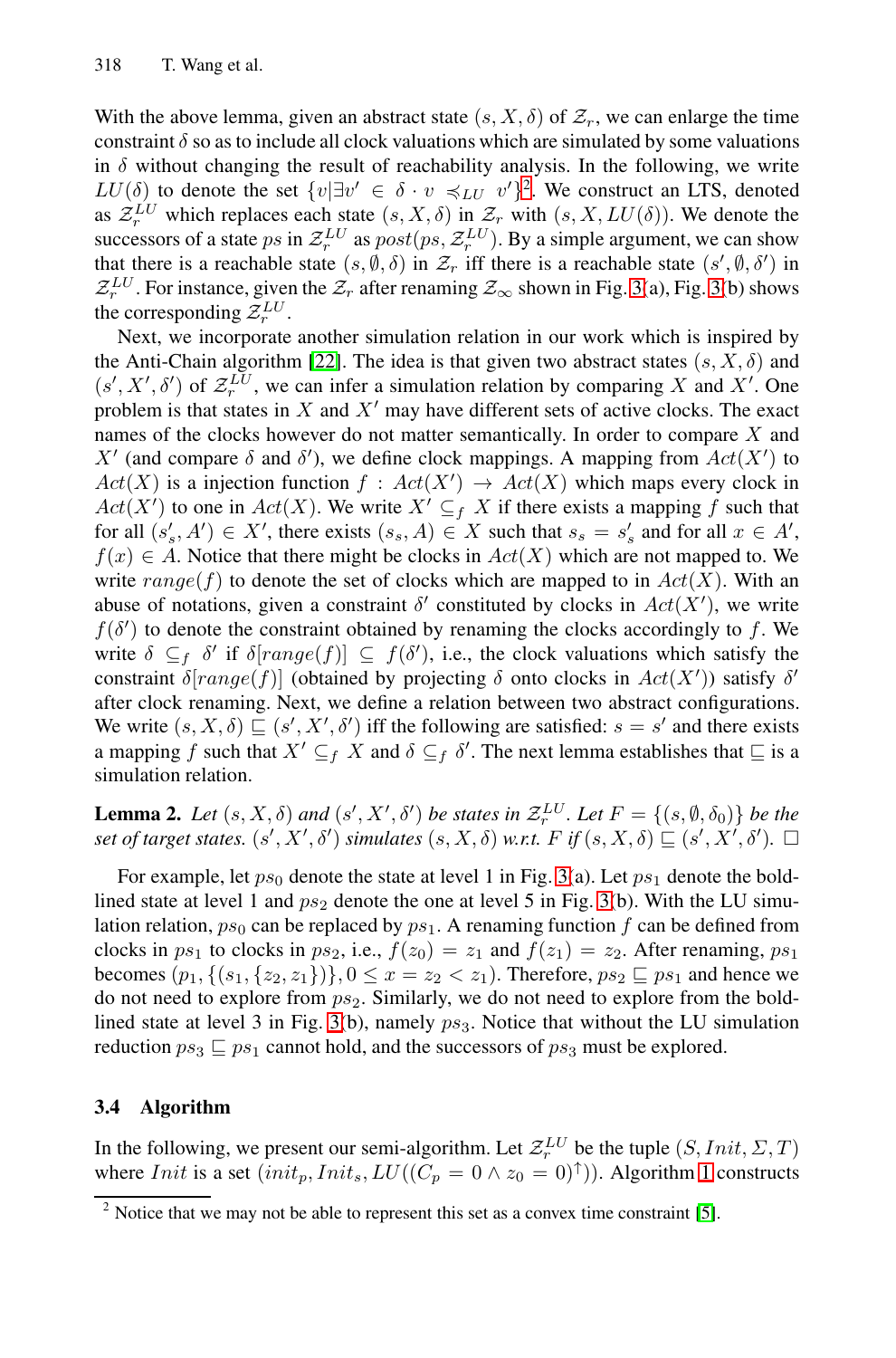With the above lemma, given an abstract state  $(s, X, \delta)$  $(s, X, \delta)$  [of](#page-6-0)  $\mathcal{Z}_r$ , we can enlarge the time constraint  $\delta$  so as to include all clock valuations which are simulated by some valuations in  $\delta$  w[itho](#page-15-4)ut changing the result of reachability analysis. In the following, we write LU( $\delta$ ) to denote the set  $\{v | \exists v' \in \delta \cdot v \preccurlyeq_{LU} v'\}^2$ . We construct an LTS, denoted as  $\mathcal{Z}_r^{LU}$  which replaces each state  $(s, X, \delta)$  in  $\mathcal{Z}_r$  with  $(s, X, LU(\delta))$ . We denote the successors of a state ps in  $\mathcal{Z}_r^{LU}$  as  $post(ps, \mathcal{Z}_r^{LU})$ . By a simple argument, we can show that there is a reachable state  $(s, \emptyset, \delta)$  in  $\mathcal{Z}_r$  iff there is a reachable state  $(s', \emptyset, \delta')$  in  $Z_r^{LU}$ . For instance, given the  $Z_r$  after renaming  $Z_\infty$  shown in Fig. 3(a), Fig. 3(b) shows the corresponding  $\mathcal{Z}_r^{LU}$ .

Next, we incorporate another simulation relation in our work which is inspired by the Anti-Chain algorithm [22]. The idea is that given two abstract states  $(s, X, \delta)$  and  $(s', X', \delta')$  of  $\mathcal{Z}_r^{LU}$ , we can infer a simulation relation by comparing X and X'. One problem is that states in X and  $X'$  may have different sets of active clocks. The exact names of the clocks however do not matter semantically. In order to compare X and X' (and compare  $\delta$  and  $\delta'$ ), we define clock mappings. A mapping from  $Act(X')$  to  $Act(X)$  is a injection function  $f:Act(X') \to Act(X)$  which maps every clock in  $Act(X')$  to one in  $Act(X)$ . We write  $X' \subseteq_f X$  if there exists a mapping f such that for all  $(s'_s, A') \in X'$ , there exists  $(s_s, A) \in X$  such that  $s_s = s'_s$  and for all  $x \in A'$ ,  $f(x) \in A$ . Notice that there might be clocks in  $Act(X)$  which are not mapped to. We write  $range(f)$  to denote the set of clocks which are mapped to in  $Act(X)$ . With an abuse of notations, given a constraint  $\delta'$  constituted by clocks in  $Act(X')$ , we write  $f(\delta')$  to denote the constraint obtained by renaming the clocks accordingly to f. We write  $\delta \subseteq_f \delta'$  if  $\delta[range(f)] \subseteq f(\delta')$ , i.e., the clock valuations which satisfy the constraint  $\delta(range(f))$  (obtained by [p](#page-6-0)rojecting  $\delta$  onto clocks in  $Act(X'))$  satisfy  $\delta'$ after clock renaming. Next, we define a r[ela](#page-6-0)tion between two abstract configurations. We write  $(s, X, \delta) \sqsubseteq (s', X', \delta')$  iff the following are satisfied:  $s = s'$  and there exists a mapping f such that  $X' \subseteq_f X$  and  $\delta \subseteq_f \delta'$ . The next lemma establishes that  $\sqsubseteq$  is a simulation relation.

**Lemma 2.** Let  $(s, X, \delta)$  and  $(s', X', \delta')$  be states in  $\mathcal{Z}_r^{\mathcal{LU}}$ . Let  $F = \{(s, \emptyset, \delta_0)\}$  be the  $s$ *et of tar[ge](#page-6-0)t states.*  $(s', X', \delta')$  *simulates*  $(s, X, \delta)$  *w.r.t.*  $F$  *if*  $(s, X, \delta) \sqsubseteq (s', X', \delta')$ .  $\square$ 

For example, let  $ps_0$  denote the state at level 1 in Fig. 3(a). Let  $ps_1$  denote the boldlined state at level 1 and  $ps_2$  denote the one at level 5 in Fig. 3(b). With the LU simulation relation,  $ps_0$  can be replaced by  $ps_1$ . A renaming function f can be defined from clocks in  $ps_1$  to clocks in  $ps_2$ , i.e.,  $f(z_0) = z_1$  and  $f(z_1) = z_2$ . After renaming,  $ps_1$ becomes  $(p_1, \{(s_1, \{z_2, z_1\})\}, 0 \le x = z_2 < z_1)$ . The[re](#page-9-0)fore,  $ps_2 \sqsubseteq ps_1$  and hence we do not need to explore from  $ps_2$ . Similarly, we do not need to explore from the boldlined state at level 3 in Fig. 3(b), namely  $ps_3$ . Notice [th](#page-14-6)at without the LU simulation reduction  $ps_3 \sqsubseteq ps_1$  cannot hold, and the successors of  $ps_3$  must be explored.

## **3.4 Algorithm**

In the following, we present our semi-algorithm. Let  $\mathcal{Z}_r^{LU}$  be the tuple  $(S,Init, \Sigma, T)$ where *Init* is a set  $(int_p,Init_s, LU((C_p = 0 \land z_0 = 0)^{\uparrow}))$ . Algorithm 1 constructs

 $2$  Notice that we may not be able to represent this set as a convex time constraint [5].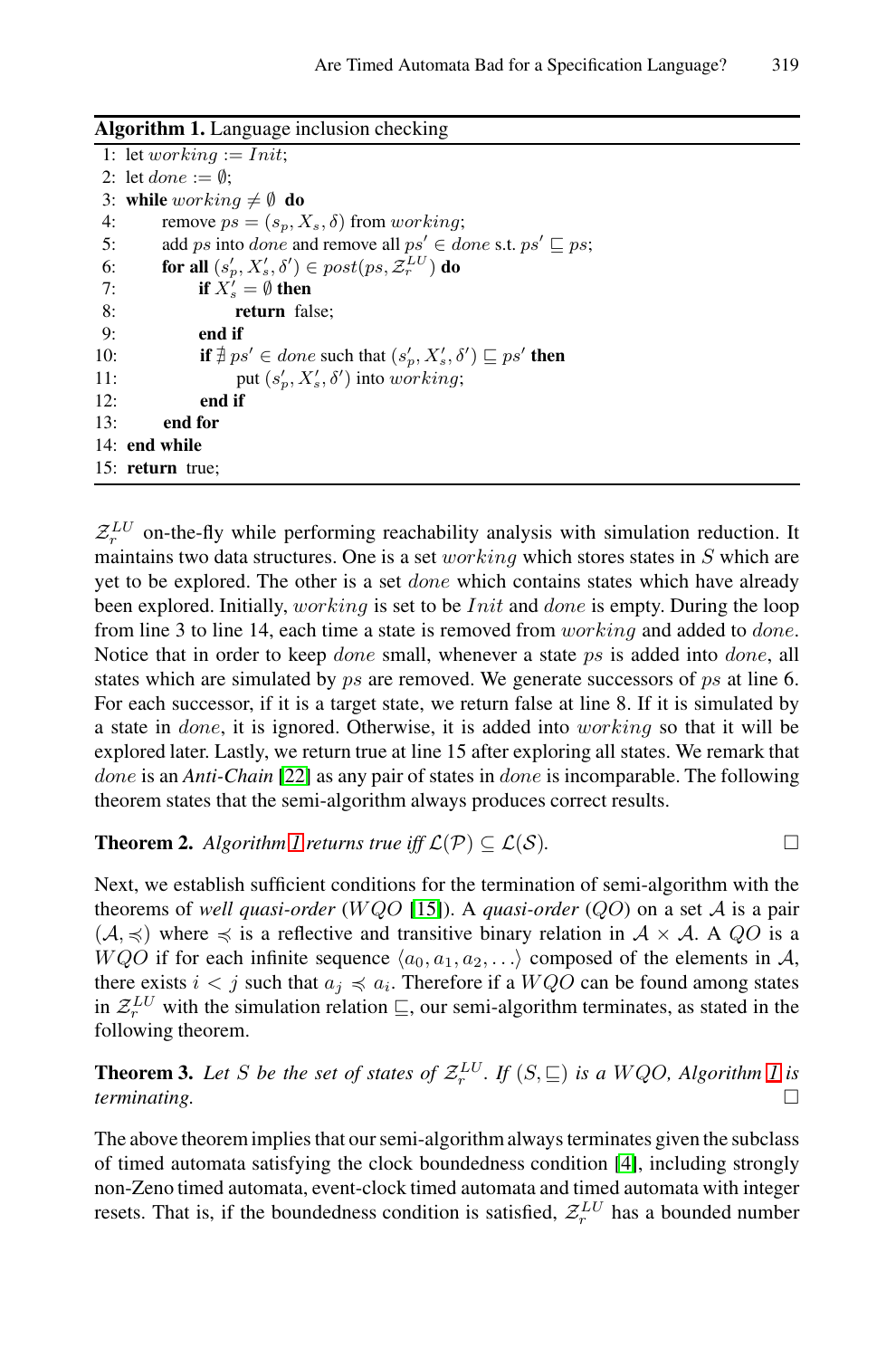<span id="page-9-0"></span>**Algorithm 1.** Language inclusion checking

|     | 1: let working $:=$ Init;                                                                |
|-----|------------------------------------------------------------------------------------------|
|     | 2: let <i>done</i> $:= \emptyset$ :                                                      |
|     | 3: while working $\neq \emptyset$ do                                                     |
| 4:  | remove $ps = (s_p, X_s, \delta)$ from working;                                           |
| 5:  | add ps into <i>done</i> and remove all $ps' \in$ <i>done</i> s.t. $ps' \sqsubseteq ps$ ; |
| 6:  | for all $(s'_p, X'_s, \delta') \in post(ps, \mathcal{Z}_r^{LU})$ do                      |
| 7:  | if $X'_s = \emptyset$ then                                                               |
| 8:  | return false;                                                                            |
| 9:  | end if                                                                                   |
| 10: | if $\nexists ps' \in done$ such that $(s_p', X_s', \delta') \sqsubseteq ps'$ then        |
| 11: | put $(s'_p, X'_s, \delta')$ into working;                                                |
| 12: | end if                                                                                   |
| 13: | end for                                                                                  |
|     | 14: end while                                                                            |
|     | 15: return true;                                                                         |

 $Z_r^{LU}$  on-the-fly while performing reachability analysis with simulation reduction. It maintains two data structures. One is a set *working* which stores states in  $S$  which are yet [to b](#page-15-4)e explored. The other is a set done which contains states which have already been explored. Initially, working is set to be *Init* and *done* is empty. During the loop from line 3 to line 14, each time a state is removed from working and added to done. Not[ice](#page-9-0) that in order to keep *done* small, whenever a state ps is added into *done*, all states which are simulated by *ps* are removed. We generate successors of *ps* at line 6. For each successor, if it is a target state, we return false at line 8. If it is simulated by a state in done, it [is](#page-14-12) [ig](#page-14-12)nored. Otherwise, it is added into working so that it will be explored later. Lastly, we return true at line 15 after exploring all states. We remark that done is an *Anti-Chain* [22] as any pair of states in done is incomparable. The following theorem states that the semi-algorithm always produces correct results.

**Theorem 2.** *Algorithm 1 returns true iff*  $\mathcal{L}(\mathcal{P}) \subseteq \mathcal{L}(\mathcal{S})$ *.*  $\Box$ 

Next, we establish sufficient conditions for the termination of [sem](#page-9-0)i-algorithm with the theorems of *well quasi-order* (WQO [15]). A *quasi-order* (QO) on a set A is a pair  $(A, \preceq)$  where  $\preceq$  is a reflective and transitive binary relation in  $A \times A$ . A QO is a W QO if for each infinite sequence  $\langle a_0, a_1, a_2,... \rangle$  composed of the elements in A, there exists  $i < j$  such that  $a_j \preccurlyeq a_i$ . Theref[ore](#page-14-3) if a  $WQO$  can be found among states in  $\mathcal{Z}_r^{LU}$  with the simulation relation  $\sqsubseteq$ , our semi-algorithm terminates, as stated in the following theorem.

**Theorem 3.** Let S be the set of states of  $\mathcal{Z}_r^{\mathcal{LU}}$ . If  $(S, \sqsubseteq)$  is a WQO, Algorithm 1 is *terminating.* □

The above theorem implies that our semi-algorithm always terminates given the subclass of timed automata satisfying the clock boundedness condition [4], including strongly non-Zeno timed automata, event-clock timed automata and timed automata with integer resets. That is, if the boundedness condition is satisfied,  $\mathcal{Z}_r^{LU}$  has a bounded number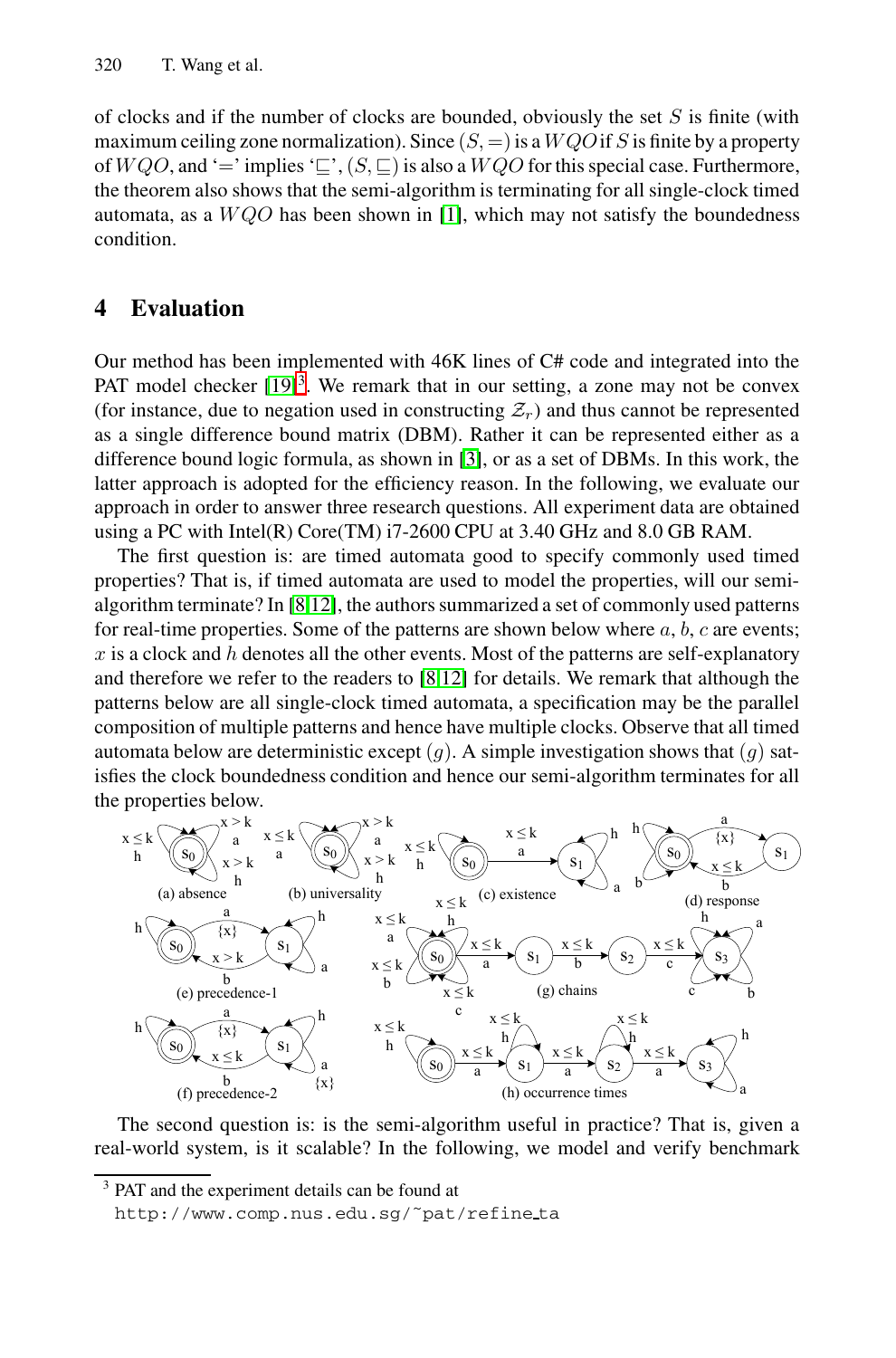<span id="page-10-0"></span>of clocks and if the number of clocks are bounded, obviously the set  $S$  is finite (with maximum ceiling zone normalization). Since  $(S, =)$  is a  $WQO$  if S is finite by a property of  $W Q O$ , and '=' implies ' $\subseteq$ ',  $(S, \subseteq)$  is also a  $W Q O$  for this special case. Furthermore, t[he th](#page-15-3)[e](#page-10-1)orem also shows that the semi-algorithm is terminating for all single-clock timed automata, as a  $WQO$  has been shown in [1], which may not satisfy the boundedness condition.

## **4 Evaluation**

Our method has been implemented with 46K lines of C# code and integrated into the PAT model checker  $[19]$ <sup>3</sup>. We remark that in our setting, a zone may not be convex (for [in](#page-14-7)[stan](#page-14-8)ce, due to negation used in constructing  $\mathcal{Z}_r$ ) and thus cannot be represented as a single difference bound matrix (DBM). Rather it can be represented either as a difference bound logic formula, as shown in [3], or as a set of DBMs. In this work, the latter approach is ad[op](#page-14-7)[ted](#page-14-8) for the efficiency reason. In the following, we evaluate our approach in order to answer three research questions. All experiment data are obtained using a PC with Intel(R) Core(TM) i7-2600 CPU at 3.40 GHz and 8.0 GB RAM.

The first question is: are timed automata good to specify commonly used timed properties? That is, if timed automata are used to model the properties, will our semialgorithm terminate? In [8,12], the authors summarized a set of commonly used patterns for real-time properties. Some of the patterns are shown below where  $a, b, c$  are events;  $x$  is a clock and  $h$  denotes all the other events. Most of the patterns are self-explanatory and therefore we refer to the readers to [8,12] for details. We remark that although the patterns below are all single-clock timed automata, a specification may be the parallel composition of multiple patterns and hence have multiple clocks. Observe that all timed automata below are deterministic except  $(q)$ . A simple investigation shows that  $(q)$  satisfies the clock boundedness condition and hence our semi-algorithm terminates for all the properties below.

<span id="page-10-1"></span>

The second question is: is the semi-algorithm useful in practice? That is, given a real-world system, is it scalable? In the following, we model and verify benchmark

PAT and the experiment details can be found at

http://www.comp.nus.edu.sg/˜pat/refine ta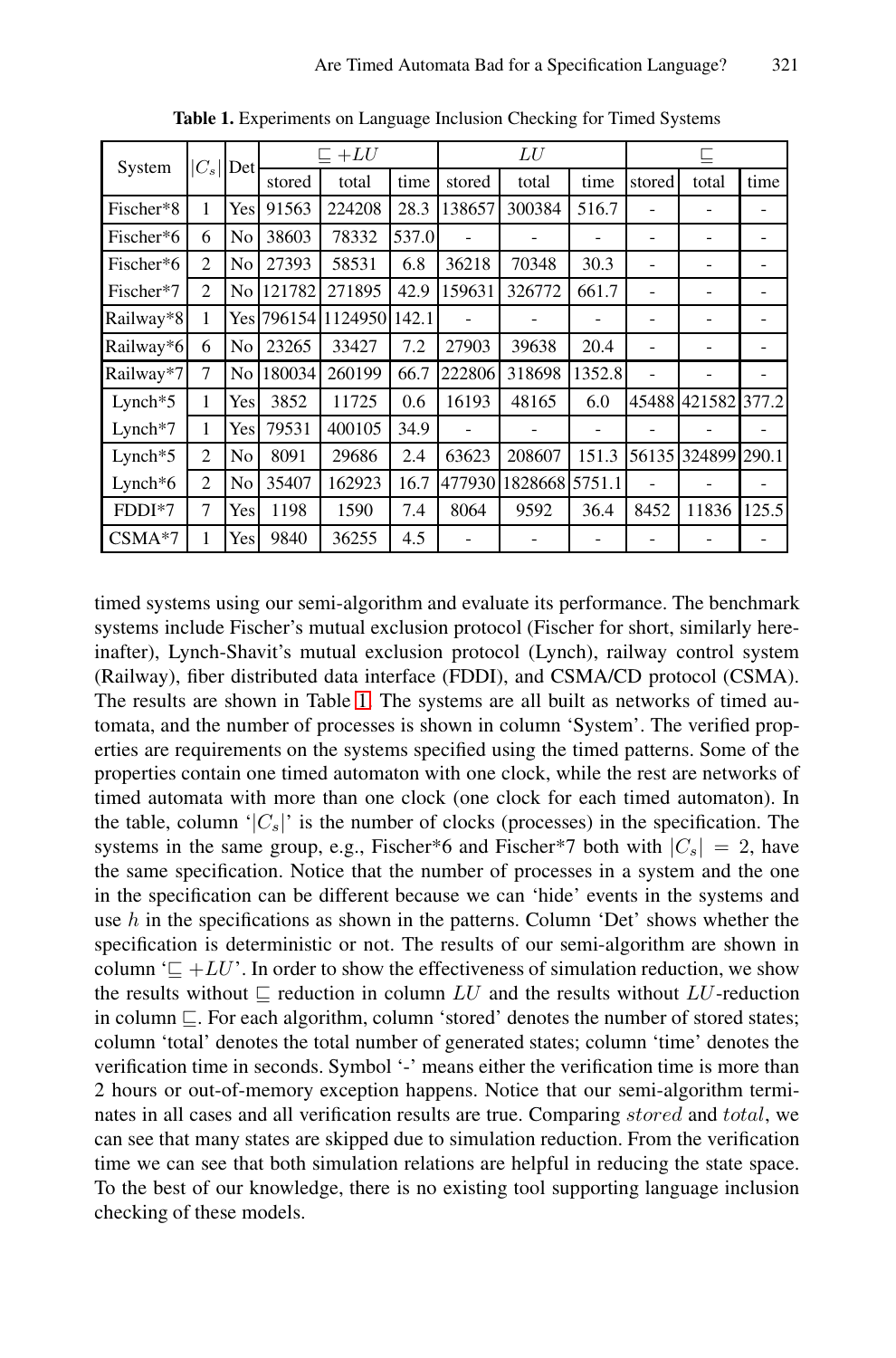| System                 | $\left C_{s}\right $ | Det  | $\sqsubset +LU$ |         | LU    |        |                | ╚      |        |        |       |
|------------------------|----------------------|------|-----------------|---------|-------|--------|----------------|--------|--------|--------|-------|
|                        |                      |      | stored          | total   | time  | stored | total          | time   | stored | total  | time  |
| Fischer*8              | 1                    | Yesl | 91563           | 224208  | 28.3  | 138657 | 300384         | 516.7  |        | -      |       |
| Fischer*6              | 6                    | No   | 38603           | 78332   | 537.0 |        |                |        |        |        |       |
| Fischer*6              | $\overline{c}$       | No   | 27393           | 58531   | 6.8   | 36218  | 70348          | 30.3   |        |        |       |
| Fischer*7              | $\mathfrak{D}$       | No   | 121782          | 271895  | 42.9  | 159631 | 326772         | 661.7  |        |        |       |
| Railway*8              | 1                    |      | Yes 796154      | 1124950 | 142.1 |        |                |        |        |        |       |
| Railway*6              | 6                    | No   | 23265           | 33427   | 7.2   | 27903  | 39638          | 20.4   |        |        |       |
| Railway*7              | 7                    | No   | 180034          | 260199  | 66.7  | 222806 | 318698         | 1352.8 |        |        |       |
| $L$ ynch $*5$          | 1                    | Yes  | 3852            | 11725   | 0.6   | 16193  | 48165          | 6.0    | 45488  | 421582 | 377.2 |
| $L$ ynch <sup>*7</sup> | 1                    | Yes  | 79531           | 400105  | 34.9  |        |                |        |        |        |       |
| $L$ ynch $*5$          | $\mathfrak{D}$       | No   | 8091            | 29686   | 2.4   | 63623  | 208607         | 151.3  | 56135  | 324899 | 290.1 |
| Lynch $*6$             | 2                    | No   | 35407           | 162923  | 16.7  | 477930 | 182866815751.1 |        |        |        |       |
| FDDI*7                 | 7                    | Yesl | 1198            | 1590    | 7.4   | 8064   | 9592           | 36.4   | 8452   | 11836  | 125.5 |
| $CSMA*7$               | 1                    | Yes  | 9840            | 36255   | 4.5   |        |                |        |        |        |       |

<span id="page-11-0"></span>**Table 1.** Experiments on Language Inclusion Checking for Timed Systems

timed systems using our semi-algorithm and evaluate its performance. The benchmark systems include Fischer's mutual exclusion protocol (Fischer for short, similarly hereinafter), Lynch-Shavit's mutual exclusion protocol (Lynch), railway control system (Railway), fiber distributed data interface (FDDI), and CSMA/CD protocol (CSMA). The results are shown in Table 1. The systems are all built as networks of timed automata, and the number of processes is shown in column 'System'. The verified properties are requirements on the systems specified using the timed patterns. Some of the properties contain one timed automaton with one clock, while the rest are networks of timed automata with more than one clock (one clock for each timed automaton). In the table, column ' $|C_s|$ ' is the number of clocks (processes) in the specification. The systems in the same group, e.g., Fischer\*6 and Fischer\*7 both with  $|C_s| = 2$ , have the same specification. Notice that the number of processes in a system and the one in the specification can be different because we can 'hide' events in the systems and use  $h$  in the specifications as shown in the patterns. Column 'Det' shows whether the specification is deterministic or not. The results of our semi-algorithm are shown in column ' $\subseteq$  +LU'. In order to show the effectiveness of simulation reduction, we show the results without  $\sqsubseteq$  reduction in column LU and the results without LU-reduction in column  $\subseteq$ . For each algorithm, column 'stored' denotes the number of stored states; column 'total' denotes the total number of generated states; column 'time' denotes the verification time in seconds. Symbol '-' means either the verification time is more than 2 hours or out-of-memory exception happens. Notice that our semi-algorithm terminates in all cases and all verification results are true. Comparing stored and total, we can see that many states are skipped due to simulation reduction. From the verification time we can see that both simulation relations are helpful in reducing the state space. To the best of our knowledge, there is no existing tool supporting language inclusion checking of these models.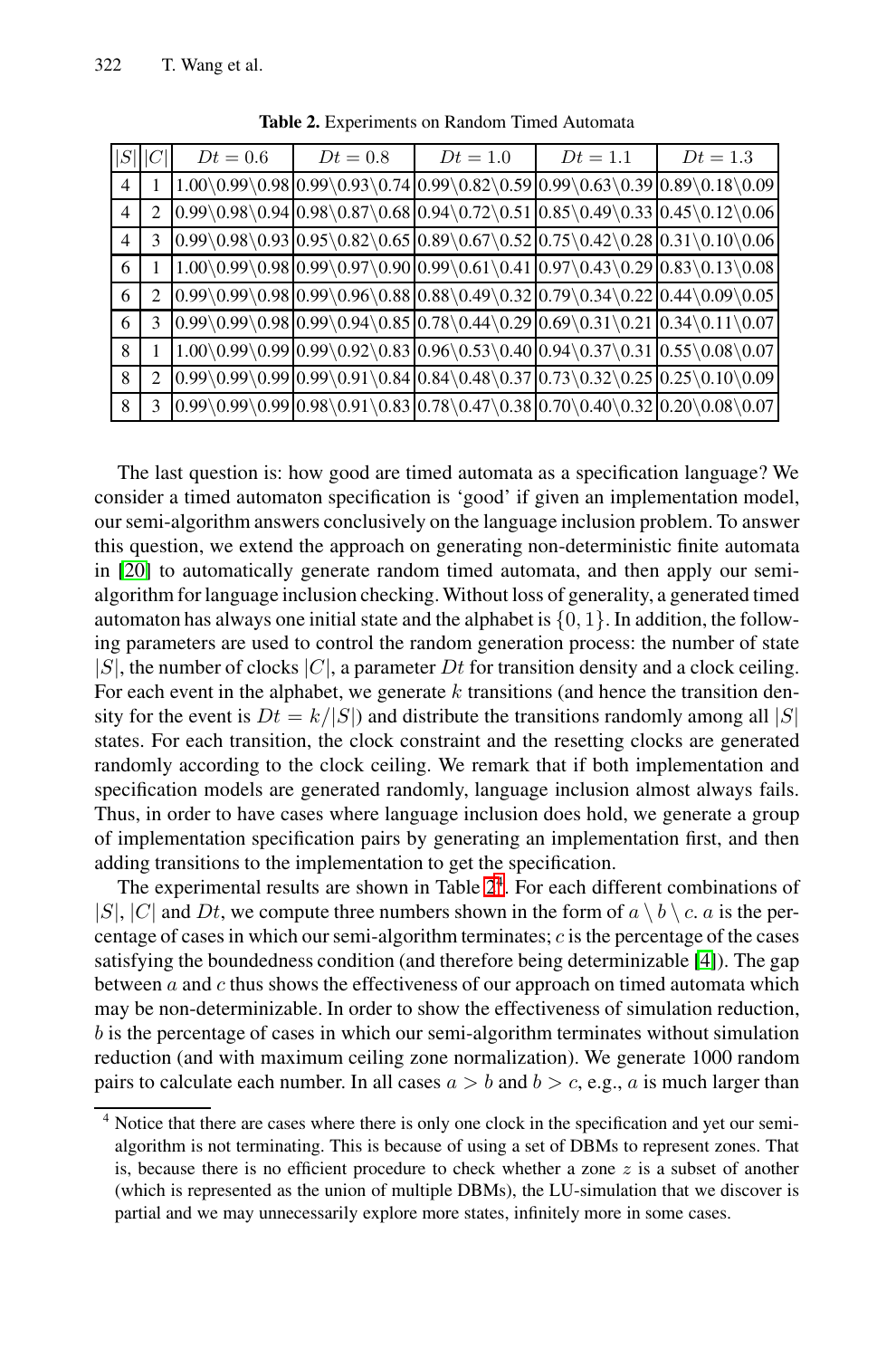| S  | ∣∪ | $Dt = 0.6$ | $Dt = 0.8$                                                                                                                                              | $Dt=1.0$ | $Dt=1.1$ | $Dt = 1.3$                                                                                                                                                                                                                                                                                                                                    |
|----|----|------------|---------------------------------------------------------------------------------------------------------------------------------------------------------|----------|----------|-----------------------------------------------------------------------------------------------------------------------------------------------------------------------------------------------------------------------------------------------------------------------------------------------------------------------------------------------|
| 4  |    |            |                                                                                                                                                         |          |          | $1.00\,0.99\,0.98\,0.99\,0.93\,0.74\,0.99\,0.82\,0.59\,0.99\,0.63\,0.39\,0.89\,0.18\,0.09$                                                                                                                                                                                                                                                    |
| 4  |    |            |                                                                                                                                                         |          |          | $ 0.99\rangle 0.98\rangle 0.94 0.98\rangle 0.87\rangle 0.68 0.94\rangle 0.72\rangle 0.51 0.85\rangle 0.49\rangle 0.33 0.45\rangle 0.12\rangle 0.06$                                                                                                                                                                                           |
| 4  | 3  |            |                                                                                                                                                         |          |          | $0.99 \setminus 0.98 \setminus 0.93 \big  0.95 \setminus 0.82 \setminus 0.65 \big  0.89 \setminus 0.67 \setminus 0.52 \big  0.75 \setminus 0.42 \setminus 0.28 \big  0.31 \setminus 0.10 \setminus 0.06$                                                                                                                                      |
| -6 |    |            |                                                                                                                                                         |          |          | $1.00\backslash 0.99\backslash 0.98 \big  0.99\backslash 0.97\backslash 0.99 \big  0.99\backslash 0.61\backslash 0.41 \big  0.97\backslash 0.43\backslash 0.29 \big  0.83\backslash 0.13\backslash 0.08 \big $                                                                                                                                |
| -6 |    |            |                                                                                                                                                         |          |          | $0.99 \setminus 0.99 \setminus 0.98 \big  0.99 \setminus 0.96 \setminus 0.88 \big  0.88 \setminus 0.49 \setminus 0.32 \big  0.79 \setminus 0.34 \setminus 0.22 \big  0.44 \setminus 0.09 \setminus 0.05 \big $                                                                                                                                |
| -6 | 3  |            |                                                                                                                                                         |          |          | $ 0.99\rangle 0.99\rangle 0.98 0.99\rangle 0.94\rangle 0.85 0.78\rangle 0.44\rangle 0.29 0.69\rangle 0.31\rangle 0.21 0.34\rangle 0.11\rangle 0.07 0.99\rangle 0.99\rangle 0.98 0.99\rangle 0.94\rangle 0.85 0.78\rangle 0.44\rangle 0.29 0.69\rangle 0.21 0.34\rangle 0.11\rangle 0.07 0.99\rangle 0.98 0.99\rangle 0.94\rangle 0.85 0.78\r$ |
| 8  |    |            | $1.00\,0.99\,0.99\,0.99\,0.92\,0.83\,0.96\,0.53\,0.40\,0.94\,0.37\,0.31\,0.55\,0.08\,0.07$                                                              |          |          |                                                                                                                                                                                                                                                                                                                                               |
| 8  |    |            | $ 0.99\rangle 0.99\rangle 0.99\rangle 0.91\rangle 0.84\rangle 0.84\rangle 0.48\rangle 0.37 0.73\rangle 0.32\rangle 0.25\rangle 0.10\rangle 0.09\rangle$ |          |          |                                                                                                                                                                                                                                                                                                                                               |
| 8  | 3  |            |                                                                                                                                                         |          |          | $0.99 \setminus 0.99 \setminus 0.98 \setminus 0.91 \setminus 0.83 \big  0.78 \setminus 0.47 \setminus 0.38 \big  0.70 \setminus 0.40 \setminus 0.32 \big  0.20 \setminus 0.08 \setminus 0.07 \big $                                                                                                                                           |

<span id="page-12-0"></span>**Table 2.** Experiments on Random Timed Automata

The last question is: how good are timed automata as a specification language? We consider a timed automaton specification is 'good' if given an implementation model, our semi-algorithm answers conclusively on the language inclusion problem. To answer this question, we extend the approach on generating non-deterministic finite automata in [20] to automatically generate random timed automata, and then apply our semialgorithm for language inclusion checking. Without loss of generality, a generated timed automaton has always one initial state and the alphabet is  $\{0, 1\}$ . In addition, the following parameters are used to control the random generation process: the number of state  $|S|$ , the number of clocks  $|C|$ , a parameter Dt for transition density and a clock ceiling. For each event in the alphab[et](#page-12-0)[,](#page-12-1) we generate  $k$  transitions (and hence the transition density for the event is  $Dt = k/|S|$  and distribute the transitions randomly among all  $|S|$ states. For each transition, the clock constraint and the resetting clocks are generated randomly according to the clock ceiling. We remark [tha](#page-14-3)t if both implementation and specification models are generated randomly, language inclusion almost always fails. Thus, in order to have cases where language inclusion does hold, we generate a group of implementation specification pairs by generating an implementation first, and then adding transitions to the implementation to get the specification.

<span id="page-12-1"></span>The experimental results are shown in Table  $2<sup>4</sup>$ . For each different combinations of  $|S|, |C|$  and Dt, we compute three numbers shown in the form of  $a \setminus b \setminus c$ . a is the percentage of cases in which our semi-algorithm terminates;  $c$  is the percentage of the cases satisfying the boundedness condition (and therefore being determinizable [4]). The gap between  $a$  and  $c$  thus shows the effectiveness of our approach on timed automata which may be non-determinizable. In order to show the effectiveness of simulation reduction, b is the percentage of cases in which our semi-algorithm terminates without simulation reduction (and with maximum ceiling zone normalization). We generate 1000 random pairs to calculate each number. In all cases  $a > b$  and  $b > c$ , e.g., a is much larger than

Notice that there are cases where there is only one clock in the specification and yet our semialgorithm is not terminating. This is because of using a set of DBMs to represent zones. That is, because there is no efficient procedure to check whether a zone  $z$  is a subset of another (which is represented as the union of multiple DBMs), the LU-simulation that we discover is partial and we may unnecessarily explore more states, infinitely more in some cases.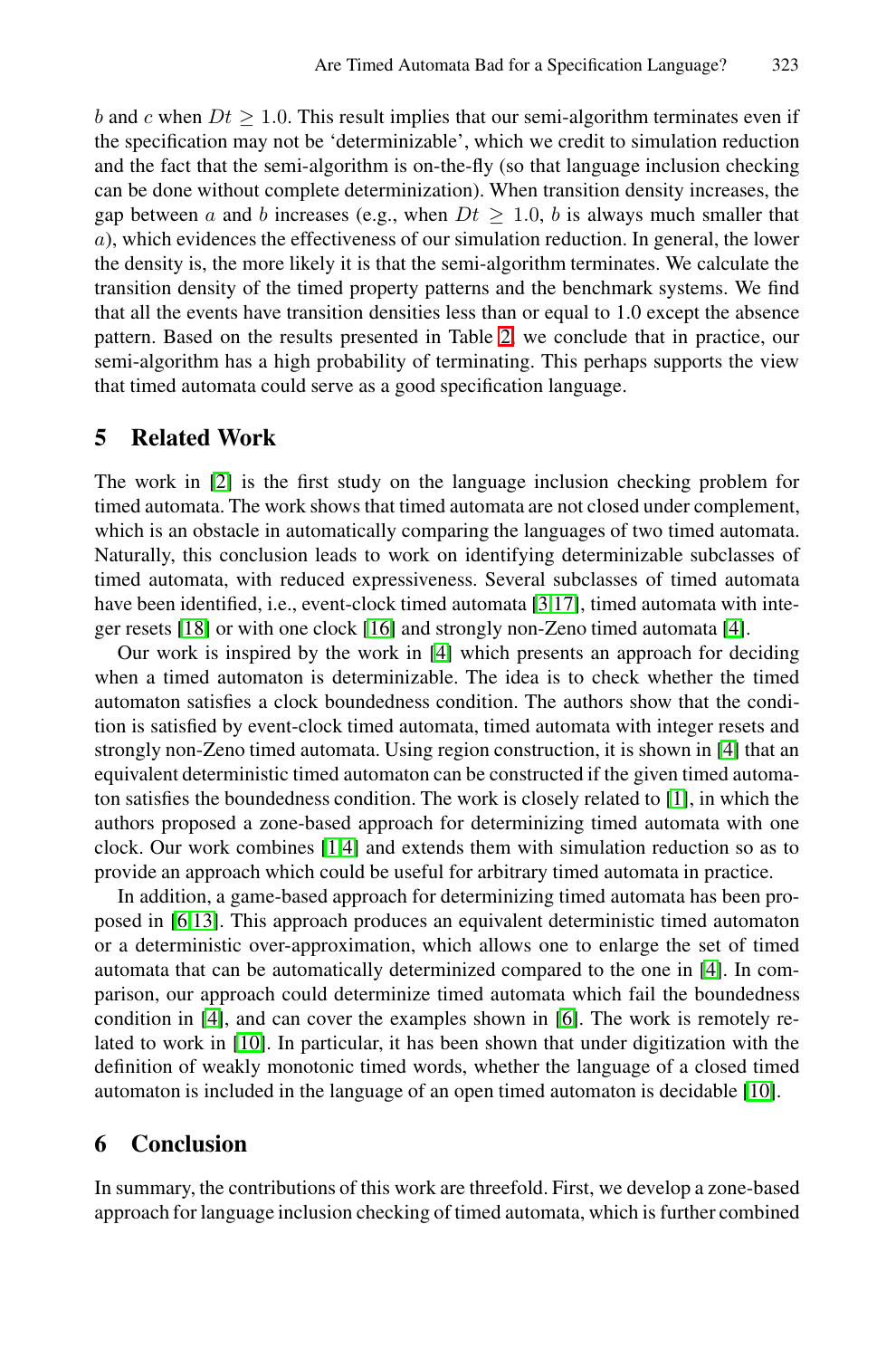<span id="page-13-0"></span>b and c when  $Dt \geq 1.0$ . This result implies that our semi-algorithm terminates even if the specification may not be '[de](#page-12-0)terminizable', which we credit to simulation reduction and the fact that the semi-algorithm is on-the-fly (so that language inclusion checking can be done without complete determinization). When transition density increases, the gap between a and b increases (e.g., when  $Dt \geq 1.0$ , b is always much smaller that a), which evidences the effectiveness of our simulation reduction. In general, the lower the density is, the more likely it is that the semi-algorithm terminates. We calculate the transition density of the timed property patterns and the benchmark systems. We find that all the events have transition densities less than or equal to 1.0 except the absence pattern. Based on the results presented in Table 2, we conclude that in practice, our semi-algorithm has a high probability of terminating. This perhaps supports the view that timed automata could serve as a good specification language.

## **5 Relate[d W](#page-14-5)ork**

The work in [2] is t[he](#page-14-3) first study on the language inclusion checking problem for timed automata. The work shows that timed automata are not closed under complement, which is an obstacle in automatically comparing the languages of two timed automata. Naturally, this conclusion leads to work on identifying [de](#page-14-3)terminizable subclasses of timed automata, with reduced expressiveness. Several subclasses of timed automata have been identified, i.e., event-clock timed autom[ata](#page-14-13) [3,17], timed automata with integer resets [18] or with one clock [16] and strongly non-Zeno timed automata [4].

<span id="page-13-1"></span>Our [wo](#page-14-13)[rk](#page-14-3) is inspired by the work in [4] which presents an approach for deciding when a timed automaton is determinizable. The idea is to check whether the timed automaton satisfies a clock boundedness condition. The authors show that the condition is satisfied by event-clock timed automata, timed automata with integer resets and strongly non-Zeno timed automata. Using region construction, it is shown in [4] that an equivalent deterministic timed automaton can be constr[uc](#page-14-3)ted if the given timed automaton satisfies the boundedness condition. The work is closely related to [1], in which the authors proposed a zone-based appr[oac](#page-14-14)h for determinizing timed automata with one [c](#page-14-15)lock. Our work combines [1,4] and extends them with simulation reduction so as to provide an approach which could be useful for arbitrary timed automata in practice.

In addition, a game-based approach for determinizing tim[ed a](#page-14-15)utomata has been proposed in [6,13]. This approach produces an equivalent deterministic timed automaton or a deterministic over-approximation, which allows one to enlarge the set of timed automata that can be automatically determinized compared to the one in [4]. In comparison, our approach could determinize timed automata which fail the boundedness condition in [4], and can cover the examples shown in [6]. The work is remotely related to work in [10]. In particular, it has been shown that under digitization with the definition of weakly monotonic timed words, whether the language of a closed timed automaton is included in the language of an open timed automaton is decidable [10].

## **6 Conclusion**

In summary, the contributions of this work are threefold. First, we develop a zone-based approach for language inclusion checking of timed automata, which is further combined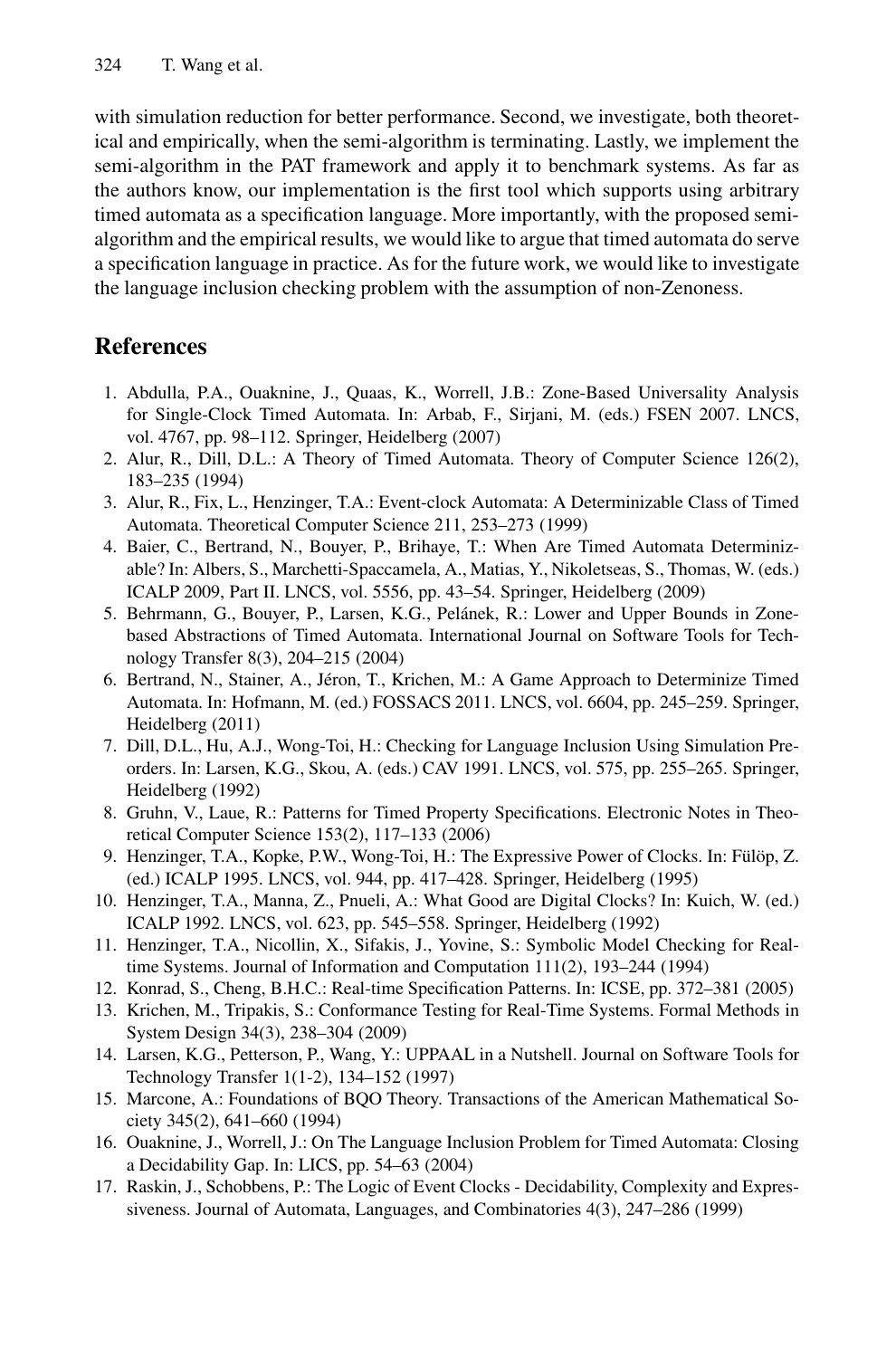<span id="page-14-13"></span>with simulation reduction for better performance. Second, we investigate, both theoretical and empirically, when the semi-algorithm is terminating. Lastly, we implement the semi-algorithm in the PAT framework and apply it to benchmark systems. As far as the authors know, our implementation is the first tool which supports using arbitrary timed automata as a specification language. More importantly, with the proposed semialgorithm and the empirical results, we would like to argue that timed automata do serve a specification language in practice. As for the future work, we would like to investigate the language inclusion checking problem with the assumption of non-Zenoness.

## <span id="page-14-1"></span><span id="page-14-0"></span>**References**

- <span id="page-14-6"></span><span id="page-14-3"></span>1. Abdulla, P.A., Ouaknine, J., Quaas, K., Worrell, J.B.: Zone-Based Universality Analysis for Single-Clock Timed Automata. In: Arbab, F., Sirjani, M. (eds.) FSEN 2007. LNCS, vol. 4767, pp. 98–112. Springer, Heidelberg (2007)
- 2. Alur, R., Dill, D.L.: A Theory of Timed Automata. Theory of Computer Science 126(2), 183–235 (1994)
- <span id="page-14-14"></span>3. Alur, R., Fix, L., Henzinger, T.A.: Event-clock Automata: A Determinizable Class of Timed Automata. Theoretical Computer Science 211, 253–273 (1999)
- <span id="page-14-9"></span>4. Baier, C., Bertrand, N., Bouyer, P., Brihaye, T.: When Are Timed Automata Determinizable? In: Albers, S., Marchetti-Spaccamela, A., Matias, Y., Nikoletseas, S., Thomas, W. (eds.) ICALP 2009, Part II. LNCS, vol. 5556, pp. 43–54. Springer, Heidelberg (2009)
- <span id="page-14-7"></span>5. Behrmann, G., Bouyer, P., Larsen, K.G., Pelánek, R.: Lower and Upper Bounds in Zonebased Abstractions of Timed Automata. International Journal on Software Tools for Technology Transfer 8(3), 204–215 (2004)
- <span id="page-14-11"></span>6. Bertrand, N., Stainer, A., Jéron, T., Krichen, M.: A Game Approach to Determinize Timed Automata. In: Hofmann, M. (ed.) FOSSACS 2011. LNCS, vol. 6604, pp. 245–259. Springer, Heidelberg (2011)
- <span id="page-14-15"></span><span id="page-14-10"></span>7. Dill, D.L., Hu, A.J., Wong-Toi, H.: Checking for Language Inclusion Using Simulation Preorders. In: Larsen, K.G., Skou, A. (eds.) CAV 1991. LNCS, vol. 575, pp. 255–265. Springer, Heidelberg (1992)
- <span id="page-14-8"></span>8. Gruhn, V., Laue, R.: Patterns for Timed Property Specifications. Electronic Notes in Theoretical Computer Science 153(2), 117–133 (2006)
- <span id="page-14-4"></span>9. Henzinger, T.A., Kopke, P.W., Wong-Toi, H.: The Expressive Power of Clocks. In: Fülöp, Z. (ed.) ICALP 1995. LNCS, vol. 944, pp. 417–428. Springer, Heidelberg (1995)
- <span id="page-14-12"></span>10. Henzinger, T.A., Manna, Z., Pnueli, A.: What Good are Digital Clocks? In: Kuich, W. (ed.) ICALP 1992. LNCS, vol. 623, pp. 545–558. Springer, Heidelberg (1992)
- <span id="page-14-5"></span>11. Henzinger, T.A., Nicollin, X., Sifakis, J., Yovine, S.: Symbolic Model Checking for Realtime Systems. Journal of Information and Computation 111(2), 193–244 (1994)
- 12. Konrad, S., Cheng, B.H.C.: Real-time Specification Patterns. In: ICSE, pp. 372–381 (2005)
- <span id="page-14-2"></span>13. Krichen, M., Tripakis, S.: Conformance Testing for Real-Time Systems. Formal Methods in System Design 34(3), 238–304 (2009)
- 14. Larsen, K.G., Petterson, P., Wang, Y.: UPPAAL in a Nutshell. Journal on Software Tools for Technology Transfer 1(1-2), 134–152 (1997)
- 15. Marcone, A.: Foundations of BQO Theory. Transactions of the American Mathematical Society 345(2), 641–660 (1994)
- 16. Ouaknine, J., Worrell, J.: On The Language Inclusion Problem for Timed Automata: Closing a Decidability Gap. In: LICS, pp. 54–63 (2004)
- 17. Raskin, J., Schobbens, P.: The Logic of Event Clocks Decidability, Complexity and Expressiveness. Journal of Automata, Languages, and Combinatories 4(3), 247–286 (1999)